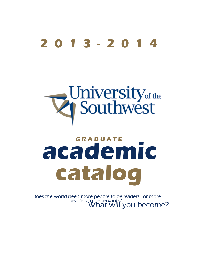# **2013-2014**

# University<sub>of the</sub>

# **GRADUATE academic catalog**

Does the world need more people to be leaders...or more<br>leaders to be servants?<br>What will you become?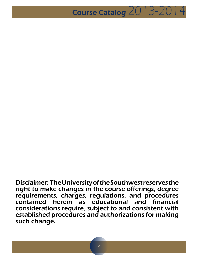

Disclaimer: The University of the Southwest reserves the right to make changes in the course offerings, degree requirements, charges, regulations, and procedures contained herein as educational and financial considerations require, subject to and consistent with established procedures and authorizations for making such change.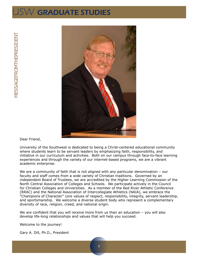## W GRADUATE STUDIES

MTHEPRESIDENT MESSAGEFROMTHEPRESIDENT MESSAGEFRO



Dear Friend,

University of the Southwest is dedicated to being a Christ-centered educational community where students learn to be servant leaders by emphasizing faith, responsibility, and initiative in our curriculum and activities. Both on our campus through face-to-face learning experiences and through the variety of our internet-based programs, we are a vibrant academic enterprise.

We are a community of faith that is not aligned with any particular denomination – our faculty and staff comes from a wide variety of Christian traditions. Governed by an independent Board of Trustees, we are accredited by the Higher Learning Commission of the North Central Association of Colleges and Schools. We participate actively in the Council for Christian Colleges and Universities. As a member of the Red River Athletic Conference (RRAC) and the National Association of Intercollegiate Athletics (NAIA), we embrace the "Champions of Character" core values of respect, responsibility, integrity, servant leadership, and sportsmanship. We welcome a diverse student body who represent a complementary diversity of race, religion, creed, and national origin.

We are confident that you will receive more from us than an education – you will also develop life-long relationships and values that will help you succeed.

Welcome to the journey!

Gary A. Dill, Ph.D., President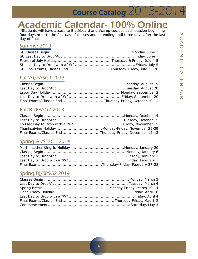# **Course Catalog**  $2013-20$

# Academic Calendar- 100% Online

\*Students will have access to Blackboard and Vcamp courses each session beginning four days prior to the first day of classes and extending until three days after the last day of finals.

#### Summer 2013

| SU Final Exams/Classes End Thursday-Friday, July 25-26 |
|--------------------------------------------------------|

#### Fall(A)/FASG1 2013

#### Fall(B)/FASG2 2013

| Final Exams/Classes End Thursday-Friday, December 12-13 |  |
|---------------------------------------------------------|--|

#### Spring(A)/SPSG1 2014

#### Spring(B)/SPSG2 2014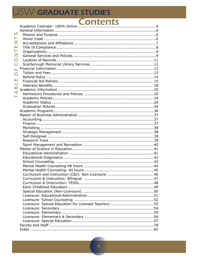# USW GRADUATE STUDIES

## **Contents**

| <u>(၂</u>                |                                                      |  |
|--------------------------|------------------------------------------------------|--|
| ⊢                        |                                                      |  |
| Z                        |                                                      |  |
| Ш                        |                                                      |  |
|                          |                                                      |  |
| ⊢<br>Ζ                   |                                                      |  |
|                          |                                                      |  |
| $\bigcirc$               |                                                      |  |
| $\cup$                   |                                                      |  |
| Щ                        |                                                      |  |
| $\bigcirc$               |                                                      |  |
| Ш                        |                                                      |  |
| $\overline{\phantom{0}}$ |                                                      |  |
| $\mathbf{\Omega}$        |                                                      |  |
| $\blacktriangleleft$     |                                                      |  |
| ⊢                        |                                                      |  |
|                          |                                                      |  |
|                          |                                                      |  |
|                          |                                                      |  |
|                          |                                                      |  |
|                          |                                                      |  |
|                          |                                                      |  |
|                          |                                                      |  |
|                          |                                                      |  |
|                          |                                                      |  |
|                          |                                                      |  |
|                          |                                                      |  |
|                          |                                                      |  |
|                          |                                                      |  |
|                          |                                                      |  |
|                          |                                                      |  |
|                          |                                                      |  |
|                          |                                                      |  |
|                          |                                                      |  |
|                          |                                                      |  |
|                          |                                                      |  |
|                          |                                                      |  |
|                          |                                                      |  |
|                          |                                                      |  |
|                          |                                                      |  |
|                          |                                                      |  |
|                          | Licensure: Special Education for Licensed Teachers53 |  |
|                          |                                                      |  |
|                          |                                                      |  |
|                          |                                                      |  |
|                          |                                                      |  |
|                          |                                                      |  |
|                          |                                                      |  |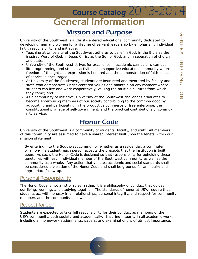## **Course Catalog**  $\angle$  U  $\Box$ General Information

## Mission and Purpose

University of the Southwest is a Christ-centered educational community dedicated to developing men and women for a lifetime of servant leadership by emphasizing individual faith, responsibility, and initiative.

- Teaching at University of the Southwest adheres to belief in God, in the Bible as the inspired Word of God, in Jesus Christ as the Son of God, and in separation of church and state.
- University of the Southwest strives for excellence in academic curriculum, campus life programming, and student activities in a supportive education community where freedom of thought and expression is honored and the demonstration of faith in acts of service is encouraged;
- At University of the Southwest, students are instructed and mentored by faculty and staff who demonstrate Christ-centered values and maintain an environment where students can live and work cooperatively, valuing the multiple cultures from which they come; and
- As a community of initiative, University of the Southwest challenges graduates to become enterprising members of our society contributing to the common good by advocating and participating in the productive commerce of free enterprise, the constitutional privilege of self-government, and the practical contributions of community service.

## **Honor Code**

University of the Southwest is a community of students, faculty, and staff. All members of this community are assumed to have a shared interest built upon the tenets within our mission statement:

By entering into the Southwest community, whether as a residential, a commuter, or an on-line student, each person accepts the precepts that the institution is built upon. As such, the Honor Code is designed so that responsibility for upholding these tenets lies with each individual member of the Southwest community as well as the community as a whole. Any action that violates academic and social standards shall be considered a violation of the Honor Code and shall be grounds for an inquiry and appropriate follow-up.

#### Personal Responsibility

The Honor Code is not a list of rules; rather, it is a philosophy of conduct that guides our living, working, and studying together. The standards of honor at USW require that students act with honesty in all relationships, personal integrity, and respect for community members and the community as a whole.

#### Respect for Self

Students are expected to take full responsibility for their conduct as members of the USW community, both socially and academically. Ensuring integrity in all academic work, including all homework assignments, papers, and examinations is of utmost importance.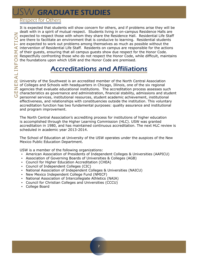## $\textsf{SW}{}$  GRADUATE STUDIES

#### Respect for Others

mation It is expected that students will show concern for others, and if problems arise they will be dealt with in a spirit of mutual respect. Students living in on-campus Residence Halls are expected to respect those with whom they share the Residence Hall. Residential Life Staff are there to facilitate an environment that is conducive to learning. Residential students are there to facilitate an environment that is conducive to learning. Residential students  $\vdash$  are expected to work out problems among themselves as much as possible without the intervention of Residential Life Staff. Residents on campus are responsible for the actions  $\sum$  of their guests, ensuring that all campus guests show due respect for the Honor Code.  $\alpha$  Respectfully confronting those who do not respect the Honor Code, while difficult, maintains the foundations upon which USW and the Honor Code are premised.

## Accreditations and Affiliations

University of the Southwest is an accredited member of the North Central Association  $\Pi$  of Colleges and Schools with headquarters in Chicago, Illinois, one of the six regional  $\mathbb Z$  agencies that evaluate educational institutions. The accreditation process assesses such characteristics as governance and administration, financial stability, admissions and student personnel services, institutional resources, student academic achievement, institutional effectiveness, and relationships with constituencies outside the institution. This voluntary accreditation function has two fundamental purposes: quality assurance and institutional and program improvement.

The North Central Association's accrediting process for institutions of higher education is accomplished through the Higher Learning Commission (HLC). USW was granted accreditation in 1980, and has maintained continuous accreditation. The next HLC review is scheduled in academic year 2013-2014.

The School of Education at University of the USW operates under the auspices of the New Mexico Public Education Department.

USW is a member of the following organizations:

- American Association of Presidents of Independent Colleges & Universities (AAPICU)
- Association of Governing Boards of Universities & Colleges (AGB)
- Council for Higher Education Accreditation (CHEA)
- Council of Independent Colleges (CIC)
- National Association of Independent Colleges & Universities (NAICU)
- New Mexico Independent College Fund (NMICF)
- National Association of Intercollegiate Athletics (NAIA)
- Council for Christian Colleges and Universities (CCCU)
- College Board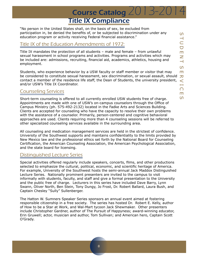"No person in the United States shall, on the basis of sex, be excluded from participation in, be denied the benefits of, or be subjected to discrimination under any education program or activity receiving Federal financial assistance."

#### Title IX of the Education Amendments of 1972:

Title IX mandates the protection of all students – male and female – from unlawful sexual harassment in school programs and activities. Programs and activities which may be included are: admissions, recruiting, financial aid, academics, athletics, housing and employment.

Students, who experience behavior by a USW faculty or staff member or visitor that may be considered to constitute sexual harassment, sex discrimination, or sexual assault, should contact a member of the residence life staff, the Dean of Students, the university president, and/or USW's Title IX Coordinator.

#### Counseling Services

Short-term counseling is offered to all currently enrolled USW students free of charge. Appointments are made with one of USW's on-campus counselors through the Office of Campus Ministry (ph. 575-492-2132) located in the Fadke Arts and Sciences Building. Clients are accepted for counseling who have the capacity to resolve their own problems with the assistance of a counselor. Primarily, person-centered and cognitive behavioral approaches are used. Clients requiring more than 4 counseling sessions will be referred to other specialized counseling services available in the surrounding area.

All counseling and medication management services are held in the strictest of confidence. University of the Southwest supports and maintains confidentiality to the limits provided by New Mexico law and the professional ethics set forth by the National Board for Counseling Certification, the American Counseling Association, the American Psychological Association, and the state board for licensing.

#### Distinguished Lecture Series

Special activities offered regularly include speakers, concerts, films, and other productions selected to emphasize the cultural, political, economic, and scientific heritage of America. For example, University of the Southwest hosts the semi-annual Jack Maddox Distinguished Lecture Series. Nationally prominent presenters are invited to the campus to visit informally with students, faculty, and staff and give a formal presentation to the University and the public free of charge. Lecturers in this series have included Dave Barry, Lynn Swann, Oliver North, Ben Stein, Tony Dungy, Jo Frost, Dr. Robert Ballard, Laura Bush, and Captain Chesley "Sully" Sullenberger.

The Hatton W. Sumners Speaker Series sponsors an annual event aimed at fostering responsible citizenship in a free society. The series has hosted Dr. Robert E. Kelly, author of How to be a Star at Work, and Wal-Mart tycoon Jack Shewmaker. Other presenters include Christopher Gardner, author of The Pursuit of Happyness; award-winning educator, Erin Gruwell; actor, musician and author, Tom Sullivan; and American hero, Captain Scott O'Grady.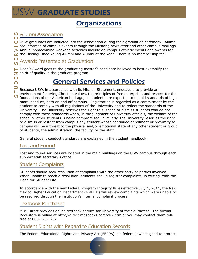# **SW GRADUATE STUDIES**

## **Organizations**

## Alumni Association

 $\sqcup$  $\triangleright$  Annual homecoming weekend activities include on-campus athletic events and awards for i c e s USW graduates are inducted into the Association during their graduation ceremony. Alumni  $\Box$  are informed of campus events through the Mustang newsletter and other campus mailings.  $\gamma$  the Distinguished Young Alumni and Alumni of the Year. There is no membership fee.

#### $\overline{S}$ Awards Presented at Graduation

Dean's Award goes to the graduating master's candidate believed to best exemplify the Н  $\geq$  spirit of quality in the graduate program.

## dent Ш  $\Box$

## General Services and Policies

 $\mathsf{S}$  $\vdash$  $\Box$ Because USW, in accordance with its Mission Statement, endeavors to provide an environment fostering Christian values, the principles of free enterprise, and respect for the foundations of our American heritage, all students are expected to uphold standards of high moral conduct, both on and off campus. Registration is regarded as a commitment by the student to comply with all regulations of the University and to reflect the standards of the University. The University reserves the right to suspend or dismiss students who do not comply with these standards when, in the judgment of University officials, the welfare of the school or other students is being compromised. Similarly, the University reserves the right to dismiss or restrict from campus any student whose continued enrollment or proximity to campus will be a threat to the physical and/or emotional state of any other student or group of students, the administration, the faculty, or the staff.

General student conduct standards are explained in the student handbook.

#### Lost and Found

Lost and found services are located in the main buildings on the USW campus through each support staff secretary's office.

#### Student Complaints

Students should seek resolution of complaints with the other party or parties involved. When unable to reach a resolution, students should register complaints, in writing, with the Dean for Student Life.

In accordance with the new Federal Program Integrity Rules effective July 1, 2011, the New Mexico Higher Education Department (NMHED) will review complaints which were unable to be resolved through the institution's internal complaint process.

#### Textbook Purchases

MBS Direct provides online textbook service for University of the Southwest. The Virtual Bookstore is online at http://direct.mbsbooks.com/csw.htm or you may contact them tollfree at 800-325-3252.

#### Student Rights with Regard to Education Records

The Federal Educational Rights and Privacy Act (FERPA) is a federal law designed to protect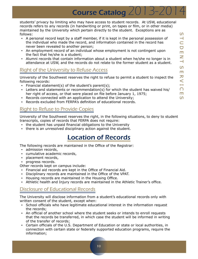

students' privacy by limiting who may have access to student records. At USW, educational records refers to any records (in handwriting or print, on tapes or film, or in other media) maintained by the University which pertain directly to the student. Exceptions are as follows:

- A personal record kept by a staff member, if it is kept in the personal possession of the individual who made the record, and information contained in the record has never been revealed to another person;
- An employment record of an individual whose employment is not contingent upon the fact that he/she is a student;
- Alumni records that contain information about a student when he/she no longer is in attendance at USW, and the records do not relate to the former student as a student.

#### Right of the University to Refuse Access

University of the Southwest reserves the right to refuse to permit a student to inspect the following records:

- Financial statement(s) of the student's parent(s);
- Letters and statements or recommendation(s) for which the student has waived his/ her right of access, or that were placed on file before January 1, 1975;
- Records connected with an application to attend the University;
- Records excluded from FERPA's definition of educational records.

#### Right to Refuse to Provide Copies

University of the Southwest reserves the right, in the following situations, to deny to student transcripts, copies of records that FERPA does not require:

- the student has unpaid financial obligations to the University
- there is an unresolved disciplinary action against the student.

## Location of Records

The following records are maintained in the Office of the Registrar:

- admission records,
- cumulative academic records,
- placement records,
- progress records.

Other records kept on campus include:

- Financial aid records are kept in the Office of Financial Aid.
- Disciplinary records are maintained in the Office of the VPAT.
- Housing records are maintained in the Housing Office.
- Athletic health and Injury records are maintained in the Athletic Trainer's office.

#### Disclosure of Educational Records

The University will disclose information from a student's educational records only with written consent of the student, except when:

- School officials who have legitimate educational interest in the information request the records;
- An official of another school where the student seeks or intends to enroll requests that the records be transferred, in which case the student will be informed in writing of the transfer of records;
- Certain officials of the U.S. Department of Education or state or local authorities, in connection with certain state or federally supported education programs, require the information;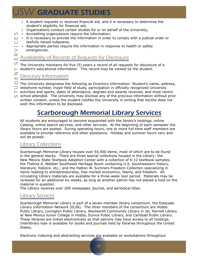# **SW GRADUATE STUDIES**

- A student requests or receives financial aid, and it is necessary to determine the student's eligibility for financial aid;
- Organizations conduct certain studies for or on behalf of the University;
- $\mathcal{D}$  Accrediting organizations require the information;
- $\Box$  It is necessary to provide the information in order to comply with a judicial order or  $\cup$ lawfully issued subpoena;
- i c e s ▪ Appropriate parties require the information in response to health or safety  $\overline{\phantom{a}}$  $\geq$ emergencies.

#### Avalilability of Records of Requests for Disclosure

The University maintains for five (5) years a record of all requests for disclosure of a student's educational information. This record may be viewed by the student.

#### **Directory Information**

- $\Box$  The University designates the following as Directory information: Student's name, address,
- $\supset$  telephone number, major field of study, participation in officially recognized University
- $\vdash$  activities and sports, dates of attendance, degrees and awards received, and most recent
- $\sigma$  school attended. The University may disclose any of the previous information without prior written consent, unless the student notifies the University in writing that he/she does not wish this information to be disclosed.

## Scarborough Memorial Library Services

All students are encouraged to become acquainted with the library's holdings, online Catalog, online search services, and other services. At the beginning of each semester the library hours are posted. During operating hours, one or more full-time staff members are available to provide reference and other assistance. Holiday and summer hours vary and will be posted.

#### Library Collections

Scarborough Memorial Library houses over 54,500 items, most of which are to be found in the general stacks. There are three special collections housed in the Library: the New Mexico State Textbook Adoption Center with a collection of K-12 textbook samples; the Thelma A. Webber Southwest Heritage Room containing U.S. Southwestern history, literature, folklore, etc.; and the Hatton W. Sumners Freedom Collection specializing in items relating to entrepreneurship, free market economics, liberty, and freedom. All circulating Library materials are available for a three-week loan period. Materials may be renewed for an additional six weeks, as long as another patron has not placed a hold on the material in question.

The Library receives over 200 newspaper, journal, and periodical titles.

#### Library Services

Scarborough Memorial Library is part of a seven-member library consortium, the Estacado Library Information Network (ELIN). The other members of the consortium are Hobbs Public Library, Lovington Public Library, Woolworth Community Library in Jal, Pannell Library at New Mexico Junior College in Hobbs, Eunice Public Library, and Carlsbad Public Library. These libraries are linked electronically so that patrons may have access to all holdings. Interlibrary loan is available for books and journals held by libraries throughout the United States.

Electronic indexing and abstracting services are available on workstations throughout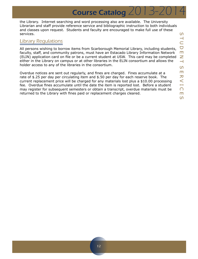Course Catalog  $\angle$ 

the Library. Internet searching and word processing also are available. The University Librarian and staff provide reference service and bibliographic instruction to both individuals and classes upon request. Students and faculty are encouraged to make full use of these services.

#### Library Regulations

All persons wishing to borrow items from Scarborough Memorial Library, including students, faculty, staff, and community patrons, must have an Estacado Library Information Network (ELIN) application card on file or be a current student at USW. This card may be completed either in the Library on campus or at other libraries in the ELIN consortium and allows the holder access to any of the libraries in the consortium.

Overdue notices are sent out regularly, and fines are charged. Fines accumulate at a rate of \$.25 per day per circulating item and \$.50 per day for each reserve book. The current replacement price will be charged for any materials lost plus a \$10.00 processing fee. Overdue fines accumulate until the date the item is reported lost. Before a student may register for subsequent semesters or obtain a transcript, overdue materials must be returned to the Library with fines paid or replacement charges cleared.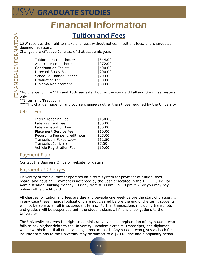## Financial Information

## Tuition and Fees

USW reserves the right to make changes, without notice, in tuition, fees, and charges as deemed necessary.

Changes are effective June 1st of that academic year.

| Tuition per credit hour* | \$544.00 |
|--------------------------|----------|
| Audit: per credit hour   | \$272.00 |
| Continuation Fee **      | \$400.00 |
| Directed Study Fee       | \$200.00 |
| Schedule Change Fee***   | \$20.00  |
| <b>Graduation Fee</b>    | \$90.00  |
| Diploma Replacement      | \$50.00  |

\*No charge for the 15th and 16th semester hour in the standard Fall and Spring semesters only

\*\*Internship/Practicum

\*\*\*This change made for any course change(s) other than those required by the University.

#### Other Fees

| Intern Teaching Fee           | \$150.00 |
|-------------------------------|----------|
| Late Payment Fee              | \$30.00  |
| Late Registration Fee         | \$50.00  |
| Placement Service Fee         | \$10.00  |
| Recording Fee per credit hour | \$25.00  |
| Transcript + Faxed copy       | \$12.50  |
| Transcript (official)         | \$7.50   |
| Vehicle Registration Fee      | \$10.00  |

#### Payment Plan

Contact the Business Office or website for details.

#### Payment of Charges

University of the Southwest operates on a term system for payment of tuition, fees, board, and housing. Payment is accepted by the Cashier located in the J. L. Burke Hall Administration Building Monday – Friday from 8:00 am – 5:00 pm MST or you may pay online with a credit card.

All charges for tuition and fees are due and payable one week before the start of classes. If in any case these financial obligations are not cleared before the end of the term, students will not be able to enroll in subsequent terms. Further transactions (including transcripts and grades) will be suspended until the student clears all financial obligations to the University.

The University reserves the right to administratively cancel registration of any student who fails to pay his/her debts to the University. Academic credits, transcripts, and diplomas will be withheld until all financial obligations are paid. Any student who gives a check for insufficient funds to the University may be subject to a \$20.00 fine and disciplinary action.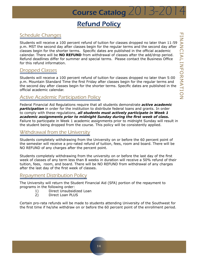# **Course Catalog 2013-**

## Refund Policy

#### **Schedule Changes**

Students will receive a 100 percent refund of tuition for classes dropped no later than 11:59 p.m. MST the second day after classes begin for the regular terms and the second day after classes begin for the shorter terms. Specific dates are published in the official academic calendar. There will be **NO REFUND** from withdrawal of classes after the add/drop period. Refund deadlines differ for summer and special terms. Please contact the Business Office for this refund information.

#### Dropped Classes

Students will receive a 100 percent refund of tuition for classes dropped no later than 5:00 p.m. Mountain Standard Time the first Friday after classes begin for the regular terms and the second day after classes begin for the shorter terms. Specific dates are published in the official academic calendar.

#### Active Academic Participation Policy

Federal Financial Aid Regulations require that all students demonstrate *active academic participation* in order for the institution to distribute federal loans and grants. In order to comply with these regulations, *all students must actively participate in Week 1 academic assignments prior to midnight Sunday during the first week of class.* Failure to participate in Week 1 academic assignments prior to midnight Sunday will result in the student being dropped from the course. This policy will be consistently applied.

#### Withdrawal from the University

Students completely withdrawing from the University on or before the 60 percent point of the semester will receive a pro-rated refund of tuition, fees, room and board. There will be NO REFUND of any charges after the percent point.

Students completely withdrawing from the university on or before the last day of the first week of classes of any term less than 8 weeks in duration will receive a 50% refund of their tuition, fees, room, and board. There will be NO REFUND from withdrawal of any charges after the last day of the first week of classes.

#### Repayment Distribution Policy

The University will return the Student Financial Aid (SFA) portion of the repayment to programs in the following order:

- 1) Direct Unsubsidized Loan<br>2) Direct Loan PLUS
- 2) Direct Loan PLUS

Certain pro-rata refunds will be made to students attending University of the Southwest for the first time if he/she withdraw on or before the 60 percent point of the enrollment period.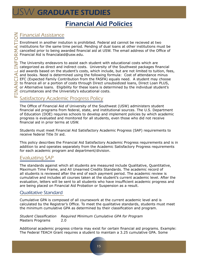## Financial Aid Policies

#### Financial Assistance

Enrollment in another instution is prohibited. Federal aid cannot be recieved at two institutions for the same time period. Pending of dual loans at other institutions must be  $\sum$  cancelled prior to being awarded financial aid at USW. The email address of the Office of  $\alpha$  Financial Aid is financialaid@usw.edu.

 $\sqcup$  aid awards based on the student's costs, which include, but are not limited to tuition, fees, The University endeavors to assist each student with educational costs which are categorized as direct and indirect costs. University of the Southwest packages financial  $\leq$  and books. Need is determined using the following formula: Cost of attendance minus EFC (Expected Family Contribution from the FASFA) equals need. A student may choose to finance all or a portion of costs through Direct unsubsidized loans, Direct Loan PLUS, or Alternative loans. Eligibility for these loans is determined by the individual student's circumstances and the University's educational costs.

#### Satisfactory Academic Progress Policy

The Office of Financial Aid of University of the Southwest (USW) administers student financial aid programs from federal, state, and institutional sources. The U.S. Department of Education (DOE) requires schools to develop and implement policies by which academic progress is evaluated and monitored for all students, even those who did not receive financial aid in prior terms at USW.

Students must meet Financial Aid Satisfactory Academic Progress (SAP) requirements to receive federal Title IV aid.

This policy describes the Financial Aid Satisfactory Academic Progress requirements and is in addition to and operates separately from the Academic Satisfactory Progress requirements for each academic program and department/division.

#### Evaluating SAP

The standards against which all students are measured include Qualitative, Quantitative, Maximum Time Frame, and All Unearned Credits Standards. The academic record of all students is reviewed after the end of each payment period. The academic review is cumulative and includes all courses taken at the student's current academic level. After the evaluation, letters will be sent to all students who have insufficient academic progress and are being placed on Financial Aid Probation or Suspension as a result.

#### Qualitative Standard

Cumulative GPA is composed of all coursework at the current academic level and is calculated by the Registrar's Office. To meet the qualitative standards, students must meet the minimum cumulative GPA as determined by their classification and program.

*Student Classification Required Minimum Cumulative GPA for Program* Masters Programs 2.0

Additional academic progress criteria may exist for certain financial aid programs. Example: The Federal TEACH Grant requires a student to maintain a 3.25 cumulative GPA. Some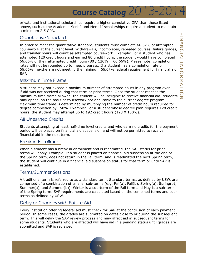

private and institutional scholarships require a higher cumulative GPA than those listed above, such as the Academic Merit I and Merit II scholarships require a student to maintain a minimum 2.5 GPA.

#### Quantitative Standard

In order to meet the quantitative standard, students must complete 66.67% of attempted coursework at the current level. Withdrawals, incompletes, repeated courses, failure grades, and transfer hours will count as attempted coursework. Example: For a student who has attempted 120 credit hours and earned 80 credit hours, the student would have completed 66.66% of their attempted credit hours  $(80 / 120\% = 66.66\%)$ . Please note: completion rates will not be rounded up to meet progress. If a student has a completion rate of 66.66%, he/she are not meeting the minimum 66.67% federal requirement for financial aid SAP.

#### Maximum Time Frame

A student may not exceed a maximum number of attempted hours in any program even if aid was not received during that term or prior terms. Once the student reaches the maximum time frame allowed, the student will be ineligible to receive financial aid; students may appeal on the basis of coursework not applicable to the current degree program. Maximum time frame is determined by multiplying the number of credit hours required for degree completion by 150%. Example: For a student whose degree plan requires 128 credit hours, the student may attempt up to 192 credit hours (128 X 150%).

#### All Unearned Credits

Students attempting at least half-time level credits and who earn no credits for the payment period will be placed on financial aid suspension and will not be permitted to receive financial aid in the next term.

#### Break in Enrollment

When a student has a break in enrollment and is readmitted, the SAP status for prior terms will apply. Example: If a student is placed on financial aid suspension at the end of the Spring term, does not return in the Fall term, and is readmitted the next Spring term, the student will continue in a financial aid suspension status for that term or until SAP is established.

#### Terms/Summer Sessions

A traditional term is referred to as a standard term. Standard terms, as defined by USW, are comprised of a combination of smaller sub-terms (e.g. Fall(a), Fall(b), Spring(a), Spring(b), Summer(a), and Summer(b)). Winter is a sub-term of the Fall term and May is a sub-term of the Spring term. SAP requirements are calculated based on the combined terms and subterms as defined by USW.

#### Delay or Changes with Future Aid

Every institution offering federal aid must check for SAP at the conclusion of each payment period. In some cases, the grades are submitted on dates close to or during the subsequent term. This will delay the SAP review process and may affect aid in subsequent terms for some students. Students who are affected will have aid in a pending status until grades are submitted and SAP is reviewed.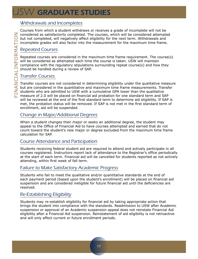# **SW GRADUATE STUDIES**

#### Withdrawals and Incompletes

Courses from which a student withdraws or receives a grade of incomplete will not be  $\geq$  considered as satisfactorily completed. The courses, which will be considered attempted but not completed, will negatively affect eligibility for the next term. Withdrawals and incomplete grades will also factor into the measurement for the maximum time frame.

#### Repeated Courses

Repeated courses are considered in the maximum time frame requirement. The course(s) will be considered as attempted each time the course is taken. USW will maintain compliance with the regulatory stipulations surrounding repeat course(s) and how they should be handled during a review of SAP.

#### Transfer Courses

Transfer courses are not considered in determining eligibility under the qualitative measure but are considered in the quantitative and maximum time frame measurements. Transfer students who are admitted to USW with a cumulative GPA lower than the qualitative measure of 2.0 will be placed on financial aid probation for one standard term and SAP will be reviewed at the end of the first standard term to determine aid eligibility. If SAP is met, the probation status will be removed. If SAP is not met in the first standard term of enrollment, aid will be suspended.

#### Change in Major/Additional Degrees

When a student changes their major or seeks an additional degree, the student may appeal to the Office of Financial Aid to have courses attempted and earned that do not count toward the student's new major or degree excluded from the maximum time frame calculation for SAP.

#### Course Attendance and Participation

Students receiving federal student aid are required to attend and actively participate in all courses registered. Instructors report lack of attendance to the Registrar's office periodically at the start of each term. Financial aid will be cancelled for students reported as not actively attending, within first week of fall term.

#### Failure to Make Satisfactory Academic Progress

Students who fail to meet the qualitative and/or quantitative standards at the end of each payment period (based upon the student's enrollment) will be placed on financial aid suspension and are considered ineligible for future financial aid until the deficiencies are resolved.

#### Re-Establishing Eligibility

Students may re-establish eligibility for financial aid by taking appropriate action that brings the student into compliance with the standards. Readmission to USW after Academic suspension or approval of an Academic suspension appeal does not reinstate Financial Aid eligibility after a Financial Aid suspension. Reinstatement of aid eligibility is not retroactive and will only affect current or future enrollment periods.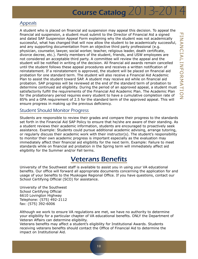

#### Appeals

A student who is placed on financial aid suspension may appeal this decision. To appeal the financial aid suspension, a student must submit to the Director of Financial Aid a signed and dated SAP Suspension Appeal Form explaining why the student was not academically successful, what has changed that will now allow the student to be academically successful, and any supporting documentation from an objective third party professional (e.g. physician, counselor, lawyer, social worker, teacher, religious leader, death certificate, divorce decree, etc.). Family members of the student, friends, and USW employees are not considered an acceptable third party. A committee will review the appeal and the student will be notified in writing of the decision. All financial aid awards remain cancelled until the student follows these appeal procedures and receives a written notification of reinstatement. If a reinstatement is approved, the student will be placed on financial aid probation for one standard term. The student will also receive a Financial Aid Academic Plan to assist the student toward SAP. A student may receive aid while on financial aid probation. SAP progress will be reviewed at the end of the standard term of probation to determine continued aid eligibility. During the period of an approved appeal, a student must satisfactorily fulfill the requirements of the Financial Aid Academic Plan. The Academic Plan for the probationary period requires every student to have a cumulative completion rate of 85% and a GPA requirement of 2.5 for the standard term of the approved appeal. This will ensure progress in making up the previous deficiency.

#### Student Should Monitor Progress

Students are responsible to review their grades and compare their progress to the standards set forth in the Financial Aid SAP Policy to ensure that he/she are aware of their standing. As a student reviews their academic information, students are encouraged to proactively seek assistance. Example: Students could pursue additional academic advising, arrange tutoring, or regularly discuss their academic work with their instructor(s). The student's responsibility to monitor their own academic progress is important especially as the evaluation may immediately affect their financial aid eligibility for the next term. Example: Failure to meet standards while on financial aid probation in the Spring term will immediately affect aid eligibility for the Summer and/or Fall terms.

## Veterans Benefits

University of the Southwest staff is available to assist you in using your VA educational benefits. Our office will forward all appropriate documents concerning the application for and usage of your benefits to the Muskogee Regional Office. If you have questions, contact our School Certifying Official (SCO) for assistance.

University of the Southwest School Certifying Official 6610 Lovington Highway Telephone: (575) 492-2112 fax: (575) 392-6006

Although we work to ensure VA regulations are met, we have no authority to determine your eligibility for a particular chapter of VA educational benefits. ONLY the Department of Veteran Affairs can determine eligibility.

Veterans benefits may affect a student's eligibility for Institutional Awards. Students receiving veterans benefits should contact the Office of Financial Aid to determine the impact on Institutional Aid.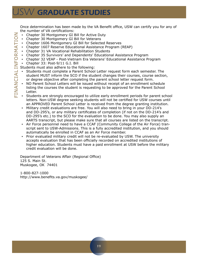Once determination has been made by the VA Benefit office, USW can certify you for any of the number of VA certifications:

- Chapter 30 Montgomery GI Bill for Active Duty
- Chapter 30 Montgomery GI Bill for Veterans
- Chapter 1606 Montgomery GI Bill for Selected Reserves
- Chapter 1607 Reserve Educational Assistance Program (REAP)
- Chapter 31 VA Vocational Rehabilitation Students
- Chapter 35 Survivors' and Dependents' Educational Assistance Program
- Chapter 32 VEAP Post-Vietnam Era Veterans' Educational Assistance Program
- Chapter 33: Post-9/11 G.I. Bill

Students must also adhere to the following:

- Students must complete a Parent School Letter request form each semester. The student MUST inform the SCO if the student changes their courses, course section, or degree objective after completing the parent school letter request form.
- NO Parent School Letters will be issued without receipt of an enrollment schedule listing the courses the student is requesting to be approved for the Parent School Letter.
- Students are strongly encouraged to utilize early enrollment periods for parent school letters. Non-USW degree seeking students will not be certified for USW courses until an APPROVED Parent School Letter is received from the degree granting institution.
- Military credit evaluations are free. You will also need to bring in your DD-214's and DD-295's, or any military certificates of completion (if not on the DD-214's and DD-295's etc.) to the SCO for the evaluation to be done. You may also supply an AARTS transcript, but please make sure that all courses are listed on the transcript.
- Air Force personnel need to have a CCAF (Community College of the Air Force) transcript sent to USW-Admissions. This is a fully accredited institution, and you should automatically be enrolled in CCAF as an Air Force member.
- Prior evaluated military credit will not be re-evaluated by USW. The university accepts evaluation that has been officially recorded on accredited institutions of higher education. Students must have a paid enrollment at USW before the military credit evaluation will be done.

Department of Veterans Affair (Regional Office) 125 S. Main St. Muskogee, OK 74401

1-800-827-1000 http://www.benefits.va.gov/muskogee/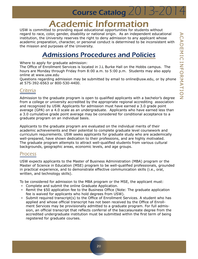**Course Catalog**  $\angle\bigcup$   $\Box$ 

# Academic Information

USW is committed to providing equal educational opportunities for students without regard to race, color, gender, disability or national origin. As an independent educational institution, the University reserves the right to deny admission to any applicant whose academic preparation, character, or personal conduct is determined to be inconsistent with the mission and purposes of the University.

## Admissions Procedures and Policies

Where to apply for graduate admission:

The Office of Enrollment Services is located in J.L Burke Hall on the Hobbs campus. The hours are Monday through Friday from 8:00 a.m. to 5:00 p.m. Students may also apply online at www.usw.edu

Questions regarding admission may be submitted by email to online@usw.edu, or by phone at 575-392-6563 or 800-530-4400.

#### **Criteria**

Admission to the graduate program is open to qualified applicants with a bachelor's degree from a college or university accredited by the appropriate regional accrediting association and recognized by USW. Applicants for admission must have earned a 3.0 grade point average (GPA) on a 4.0 scale as an undergraduate. Applicants who have earned less than a 3.0 cumulative grade point average may be considered for conditional acceptance to a graduate program on an individual basis.

Applicants to the graduate program are evaluated on the individual merits of their academic achievements and their potential to complete graduate level coursework and curriculum requirements. USW seeks applicants for graduate study who are academically well-prepared, have shown dedication to their professions, and are highly motivated. The graduate program attempts to attract well-qualified students from various cultural backgrounds, geographic areas, economic levels, and age groups.

#### Process

USW expects applicants to the Master of Business Administration (MBA) program or the Master of Science in Education (MSE) program to be well-qualified professionals, grounded in practical experience, and to demonstrate effective communication skills (i.e., oral, written, and technology skills).

To be considered for admission to the MBA program or the MSE, the applicant must:

- Complete and submit the online Graduate Application.
- Remit the \$50 application fee to the Business Office (Note: The graduate application fee is waived for applicants who hold degrees from USW).
- Submit required transcript(s) to the Office of Enrollment Services. A student who has applied and whose official transcript has not been received by the Office of Enrollment Services may be provisionally admitted to a graduate program. For full admission, an official transcript that reflects conferral of the baccalaureate degree from the accredited undergraduate institution must be submitted within the first term of being registered for graduate courses.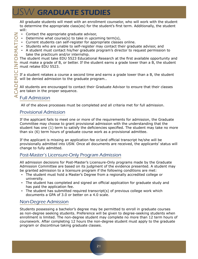# W GRADUATE STUDIES

All graduate students will meet with an enrollment counselor, who will work with the student to determine the appropriate class(es) for the student's first term. Additionally, the student will:

- Contact the appropriate graduate advisor,
- **•** Determine what course(s) to take in upcoming term(s),
- Current students can self-register for appropriate classes online.
- Students who are unable to self-register may contact their graduate advisor, and
- A student must contact his/her graduate program's director to request permission to take the practicum and/or internship.

The student must take EDU 5523 Educational Research at the first available opportunity and must make a grade of B, or better. If the student earns a grade lower than a B, the student must retake EDU 5523.

If a student retakes a course a second time and earns a grade lower than a B, the student will be denied admission to the graduate program..

All students are encouraged to contact their Graduate Advisor to ensure that their classes are taken in the proper sequence.

#### Full Admission

All of the above processes must be completed and all criteria met for full admission.

#### Provisional Admission

If the applicant fails to meet one or more of the requirements for admission, the Graduate Committee may choose to grant provisional admission with the understanding that the student has one (1) term to satisfy the deficiencies specified. The student may take no more than six (6) term hours of graduate course work as a provisional admittee.

If the applicant is missing an application fee or/and official transcript he/she will be provisionally admitted into USW. Once all documents are received, the applicants' status will change to fully admitted.

#### Post-Master's Licensure-Only Program Admission

All admission decisions for Post-Master's Licensure-Only programs made by the Graduate Admission Committee are based on its judgment of the evidence presented. A student may be granted admission to a licensure program if the following conditions are met:

- The student must hold a Master's Degree from a regionally accredited college or university.
- The student has completed and signed an official application for graduate study and has paid the application fee.
- The student has submitted required transcript(s) of previous college work which documents a GPA of 3.0 or better on a 4.0 scale.

#### Non-Degree Admission

Students possessing a bachelor's degree may be permitted to enroll in graduate courses as non-degree seeking students. Preference will be given to degree-seeking students when enrollment is limited. The non-degree student may complete no more than 12 term hours of coursework. After completing 12 hours the non-degree student must apply to the graduate program or discontinue taking graduate classes.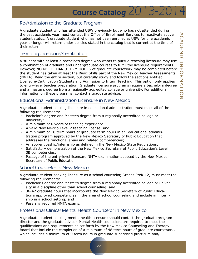#### Re-Admission to the Graduate Program

A graduate student who has attended USW previously but who has not attended during the past academic year must contact the Office of Enrollment Services to reactivate active student status. A graduate student who has not been enrolled at USW for one academic year or longer will return under policies stated in the catalog that is current at the time of their return.

#### Teaching Licensure/Certification

A student with at least a bachelor's degree who wants to pursue teaching licensure may use a combination of graduate and undergraduate courses to fulfill the licensure requirements. However, NO MORE THAN 9 TERM HOURS of graduate coursework may be completed before the student has taken at least the Basic Skills part of the New Mexico Teacher Assessments (NMTA). Read the entire section, but carefully study and follow the sections entitled Licensure/Certification Students and Admission to Intern Teaching. This option only applies to entry-level teacher preparation. Graduate licensure programs require a bachelor's degree and a master's degree from a regionally accredited college or university. For additional information on these programs, contact a graduate advisor.

#### Educational Administration Licensure in New Mexico

A graduate student seeking licensure in educational administration must meet all of the following requirements:

- Bachelor's degree and Master's degree from a regionally accredited college or university;
- A minimum of 6 years of teaching experience;
- A valid New Mexico Level 2 teaching license; and
- A minimum of 18 term hours of graduate term hours in an educational administration program approved by the New Mexico Secretary of Public Education that addresses the functional areas and related competencies;
- An apprenticeship/internship as defined in the New Mexico State Regulations;
- Satisfactory demonstration of the New Mexico Secretary of Public Education's Level 3B competencies;
- Passage of the entry-level licensure NMTA examination adopted by the New Mexico Secretary of Public Education.

#### School Counselor in New Mexico

A graduate student seeking licensure as a school counselor, Grades PreK-12, must meet the following requirements:

- Bachelor's degree and Master's degree from a regionally accredited college or university in a discipline other than school counseling; and
- 36-42 graduate hours that incorporate the New Mexico Secretary of Public Education's approved competencies in the area of school counseling and include an internship in a school setting; and
- Pass any required NMTA exams.

#### Professional Clinical Mental Health Counselor in New Mexico

A graduate student seeking mental health licensure should contact the graduate program director and the graduate advisor. Mental Health counselors are required to meet the qualifications and requirements as set forth by the New Mexico Counseling and Therapy Board that include the completion of a minimum of 48 term hours of graduate coursework, which includes a minimum of 9 term hours in graduate supervised practicum and/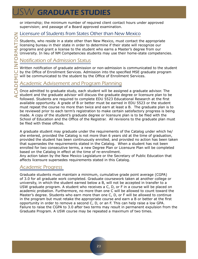# $\mathcal N$  GRADUATE STUDIES

or internship; the minimum number of required client contact hours under approved supervision; and passage of a Board approved examination.

#### Licensure of Students from States Other than New Mexico

Students, who reside in a state other than New Mexico, must contact the appropriate licensing bureau in their state in order to determine if their state will recognize our programs and grant a license to the student who earns a Master's degree from our University. In lieu of NM Competencies students may use their home-state competencies.

#### Notification of Admission Status

Written notification of graduate admission or non-admission is communicated to the student by the Office of Enrollment Services. Admission into the specified MSE graduate program will be communicated to the student by the Office of Enrollment Services.

#### Academic Advisement and Program Planning

Once admitted to graduate study, each student will be assigned a graduate advisor. The student and the graduate advisor will discuss the graduate degree or licensure plan to be followed. Students are required to complete EDU 5523 Educational Research at the first available opportunity. A grade of B or better must be earned in EDU 5523 or the student must repeat the course no more than twice and earn at least a B. The graduate plan is to be reviewed prior to each term's registration to make certain satisfactory progress is being made. A copy of the student's graduate degree or licensure plan is to be filed with the School of Education and the Office of the Registrar. All revisions to the graduate plan must be filed with these offices.

A graduate student may graduate under the requirements of the Catalog under which he/ she entered, provided the Catalog is not more than 6 years old at the time of graduation, provided the student has been continuously enrolled, and provided no action has been taken that supersedes the requirements stated in the Catalog. When a student has not been enrolled for two consecutive terms, a new Degree Plan or Licensure Plan will be completed based on the Catalog in effect at the time of re-enrollment.

Any action taken by the New Mexico Legislature or the Secretary of Public Education that affects licensure supersedes requirements stated in this Catalog.

#### **Academic Progress**

Graduate students must maintain a minimum, cumulative grade point average (CGPA) of 3.0 for all graduate work completed. Graduate coursework taken at another college or university, in which the student earned below a B, will not be accepted in transfer to a USW graduate program. A student who receives a C, D, or F in a course will be placed on academic probation. Furthermore, no more than one C will be allowed to count toward the Master's degree. Students who earn more than one C, D, or F will be allowed to continue in the program but must retake the appropriate course and earn a B or better at the first opportunity in order to remove a second C, D, or an F. This can help raise a low GPA. Failure to raise the CGPA to 3.0 after two terms may result in permanent expulsion from the Graduate Program. A USW course may be repeated a maximum of two times.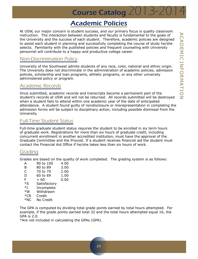## Academic Policies

At USW, our major concern is student success, and our primary focus is quality classroom instruction. The interaction between students and faculty is fundamental to the goals of the University and the success of each student. Therefore, academic policies are designed to assist each student in planning and successfully completing the course of study he/she selects. Familiarity with the published policies and frequent counseling with University personnel will contribute to a happy and productive college career.

#### Non-Discrimination Policy

University of the Southwest admits students of any race, color, national and ethnic origin. The University does not discriminate in the administration of academic policies, admission policies, scholarship and loan programs, athletic programs, or any other university administered policy or program.

#### Academic Records

Once submitted, academic records and transcripts become a permanent part of the student's records at USW and will not be returned. All records submitted will be destroyed when a student fails to attend within one academic year of the date of anticipated attendance. A student found guilty of nondisclosure or misrepresentation in completing the admission forms will be subject to disciplinary action, including possible dismissal from the University.

#### Full-Time Student Status

Full-time graduate student status requires the student to be enrolled in six term hours of graduate work. Registrations for more than six hours of graduate credit, including concurrent enrollment in another accredited institution, must have the approval of the Graduate Committee and the Provost. If a student receives financial aid the student must contact the Financial Aid Office if he/she takes less than six hours of work.

#### Grading

Grades are based on the quality of work completed. The grading system is as follows:

- A 90 to 100 4.00<br>B 80 to 89 3.00
- B 80 to 89 3.00<br>C 70 to 79 2.00
- 70 to 79
- D 60 to 69 1.00
- $F < 60$  0.00<br>  $*S$  Satisfactory
- **Satisfactory**
- \*I Incomplete
- \*W Withdrawn
- **Credit**
- \*NC No Credit

The GPA is computed by dividing total grade points earned by total hours attempted. For example, if the grade points earned total 32 and the total hours attempted equal 16, the GPA is 2.0.

\*Are not included in calculating the GPAs (GPA).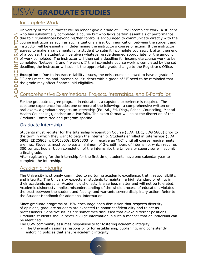# **SW GRADUATE STUDIES**

#### Incomplete Work

University of the Southwest will no longer give a grade of "I" for incomplete work. A student  $\mathbb Z$  who has substantially completed a course but who lacks certain essentials of performance  $\bigcirc$  due to circumstances beyond his/her control is encouraged to communicate directly with the  $\Box$  course instructor as soon as such situations arise. Communication between the student and instructor will be essential in determining the instructor's course of action. If the instructor  $\sum$  agrees to make arrangements for a student to submit incomplete coursework after then end  $\alpha$  of a course, the student will be given whatever grade deemed appropriate for the amount  $\bigcirc$  of work completed. The instructor will then set a deadline for incomplete course work to be  $\Box$  completed (between 1 and 4 weeks). If the incomplete course work is completed by the set deadline, the instructor will submit the appropriate grade change to the Registrar's Office.

**Exception**: Due to insurance liability issues, the only courses allowed to have a grade of "I" are Practicums and Internships. Students with a grade of "I" need to be reminded that the grade may affect financial aid eligibility.

#### Comprehensive Examinations, Projects, Internships, and E-Portfolios

For the graduate degree program in education, a capstone experience is required. The capstone experience includes one or more of the following: a comprehensive written or oral exam, a graduate project, an internship (Ed. Ad., Ed. Diag., School Counseling, Mental Health Counseling), and/or an e-Portfolio. The exam format will be at the discretion of the Graduate Committee and program specific.

#### Graduate Internship

Students must register for the Internship Preparation Course (EDA, EDC, EDG 5800) prior to the term in which they want to begin the internship. Students enrolled in Internships (EDA 5803, EDC5803m, EDC5803s, EDG5803) will receive an "NC" until all course requirements are met. Students must complete a minimum of 3-credit hours of internship, which requires 300 contact hours. Upon completion of the internship, the University supervisor will submit a final grade.

After registering for the internship for the first time, students have one calendar year to complete the internship.

#### Academic Integrity

The University is strongly committed to nurturing academic excellence, truth, responsibility, and integrity. The University expects all students to maintain a high standard of ethics in their academic pursuits. Academic dishonesty is a serious matter and will not be tolerated. Academic dishonesty implies misunderstanding of the whole process of education, violates the trust between the student and faculty, and warrants severe disciplinary action. Refer to the Student Handbook for additional information.

Since graduate programs at USW encourage open discussion that respects diversity of opinions, graduate students are expected to honor confidentiality and to act as professionals. Sensitive issues are sometimes discussed that evoke different positions. Graduate students should never divulge information in such a manner that an individual can be identified.

The USW community assumes responsibility for fostering academic integrity.

▪ The University assumes responsibility for establishing, publishing, and consistently enforcing policies that ensure academic integrity.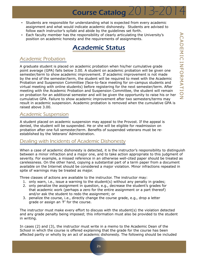

- Students are responsible for understanding what is expected from every academic assignment and what would indicate academic dishonesty. Students are advised to follow each instructor's syllabi and abide by the guidelines set forth.
- Each faculty member has the responsibility of clearly articulating the University's position on academic honesty and the requirements of assignments.

## Academic Status

#### Academic Probation

A graduate student is placed on academic probation when his/her cumulative grade point average (GPA) falls below 3.00. A student on academic probation will be given one semester/term to show academic improvement. If academic improvement is not made by the end of the semester/term, the student will be required to meet with the Academic Probation and Suspension Committee (face-to-face meeting for on-campus students and virtual meeting with online students) before registering for the next semester/term. After meeting with the Academic Probation and Suspension Committee, the student will remain on probation for an additional semester and will be given the opportunity to raise his or her cumulative GPA. Failure to show academic improvement after two semesters/terms may result in academic suspension. Academic probation is removed when the cumulative GPA is raised above 3.00.

#### Academic Suspension

A student placed on academic suspension may appeal to the Provost. If the appeal is denied, the student will be suspended. He or she will be eligible for readmission on probation after one full semester/term. Benefits of suspended veterans must be reestablished by the Veterans' Administration.

#### Dealing with Incidents of Academic Dishonesty

When a case of academic dishonesty is detected, it is the instructor's responsibility to distinguish between a minor infraction and a major one, and to take action appropriate to this judgment of severity. For example, a missed reference in an otherwise well-cited paper should be treated as carelessness. On the other hand, copying a substantial part of a term paper from a document available on the Internet should be considered a major violation. Minor infractions repeated in spite of warnings may be treated as major.

Three classes of actions are available to the instructor. The instructor may:

- 1. only warn, i.e., issue a warning to the student(s) without any penalty in grades;
- 2. only penalize the assignment in question, e.g., decrease the student's grades for that academic work (perhaps a zero for the entire assignment or a part thereof) and/or ask the student to redo the assignment; or
- 3. penalize the course, i.e., directly change the course grade, e.g., drop a letter grade or assign an 'F' for the course.

The instructor must make every effort to discuss with the student(s) the violation detected and any grade penalty being imposed; this information must also be provided to the student in writing.

In cases (2) and (3), the instructor must write in a memo to the Academic Dean of the School in which the course is offered explaining that the grade for the course has been affected partly or wholly by an act of academic dishonesty. The following should be included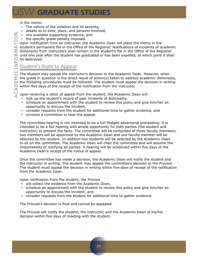#### in the memo:

- The nature of the violation and its severity,
- details as to time, place, and persons involved,
- any available supporting evidence, and
- O the specific grade penalty imposed.

 $\Box$  Upon notification from an instructor, the Academic Dean will place the memo in the  $\leq$  student's permanent file in the Office of the Registrar. Notifications of incidents of academic  $\sum$  dishonesty from instructors shall remain in the student's file in the Office of the Registrar  $\alpha$  until one year after the student has graduated or has been expelled, at which point it shall be destroyed.

### **Student's Right to Appeal**

The student may appeal the instructor's decision to the Academic Dean. However, when the grade in question is the direct result of action(s) taken to address academic dishonesty, the following procedures must be followed. The student must appeal the decision in writing within five days of the receipt of the notification from the instructor.

Upon receiving a letter of appeal from the student, the Academic Dean will:

- look up the student's record of past incidents of dishonesty,
- schedule an appointment with the student to review this policy and give him/her an opportunity to discuss the incident,
- consider requests from the student for additional time to gather evidence, and
- convene a committee to hear the appeal.

The committee hearing is not intended to be a full-fledged adversarial proceeding: it is intended to be a fair hearing with ample opportunity for both parties (the student and instructor) to present the facts. The committee will be comprised of three faculty members; two members will be appointed by the Academic Dean and one faculty member will be selected by the student. In addition two students will be selected by the Academic Dean to sit on the committee. The Academic Dean will chair the committee and will assume the responsibility of notifying all parties. A hearing will be scheduled within five days of the Academic Dean's receipt of the notice of appeal.

Once the committee has made a decision, the Academic Dean will notify the student and the instructor in writing. The student may appeal the committee's decision to the Provost. The student must appeal the decision in writing within five days of receipt of the notification from the Academic Dean.

Upon notification from the student, the Provost

- will collect the evidence from the Academic Dean,
- schedule an appointment with the student to review this policy and give him/her an opportunity to discuss the incident, and
- consider requests from the student for additional time to gather evidence.

The Provost's decision is final and cannot be appealed.

The Provost will notify the student, the instructor, and the Academic Dean of his/her decision within five days of meeting with the student.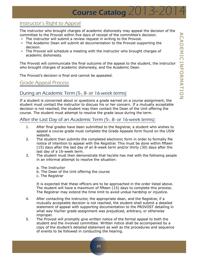#### Instructor's Right to Appeal

The instructor who brought charges of academic dishonesty may appeal the decision of the committee to the Provost within five days of receipt of the committee's decision.

Course Catalog  $2013$ 

- The instructor will submit a review request in writing to the Provost.
- The Academic Dean will submit all documentation to the Provost supporting the decision.
- The Provost will schedule a meeting with the instructor who brought charges of academic dishonesty.

The Provost will communicate the final outcome of the appeal to the student, the instructor who brought charges of academic dishonesty, and the Academic Dean.

The Provost's decision is final and cannot be appealed.

#### Grade Appeal Process

#### During an Academic Term (5-, 8- or 16-week terms)

If a student is concerned about or questions a grade earned on a course assignment, the student must contact the instructor to discuss his or her concern. If a mutually acceptable decision is not reached, the student may then contact the Dean of the Unit offering the course. The student must attempt to resolve the grade issue during the term.

#### After the Last Day of an Academic Term (5-, 8- or 16-week terms):

- 1. After final grades have been submitted to the Registrar, a student who wishes to appeal a course grade must complete the Grade Appeals form found on the USW website.
- 2. The student then submits the completed electronic form in order to formally file notice of intention to appeal with the Registrar. This must be done within fifteen (15) days after the last day of an 8-week term and/or thirty (30) days after the last day of a 16-week term.
- 3. The student must then demonstrate that he/she has met with the following people in an informal attempt to resolve the situation:
	- a. The Instructor
	- b. The Dean of the Unit offering the course
	- c. The Registrar

It is expected that these officers are to be approached in the order listed above. The student will have a maximum of fifteen (15) days to complete this process. The Registrar may extend the time limit to avoid undue hardship or injustice.

- 4. After contacting the instructor, the appropriate dean, and the Registrar, if a mutually acceptable decision is not reached, the student shall submit a detailed statement of appeal with supporting documentation to the PROVOST detailing in what way his/her grade assignment was prejudiced, arbitrary, or otherwise improper.
- 5. The Provost will promptly give written notice of the formal appeal to both the student and the involved committee. Written notice shall be accompanied by a copy of the student's detailed statement as well as the procedures and sequence of events to be followed in conducting the hearing.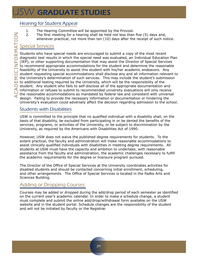#### Hearing for Student Appeal

- 1. The Hearing Committee will be appointed by the Provost.
- 2. The first meeting for a hearing shall be held not less than five (5) days and, whenever practical, not more than ten (10) days after the receipt of such notice.

#### Special Services

Students who have special needs are encouraged to submit a copy of the most recent diagnostic test results in which the special need was evaluated, an Individual Education Plan (IEP), or other supporting documentation that may assist the Director of Special Services to recommend appropriate accommodations for the student and determine the reasonable feasibility of the University to assist this student with his/her academic endeavors. Any student requesting special accommodations shall disclose any and all information relevant to the University's determination of such services. This may include the student's submission  $\Box$  to additional testing required by the University, which will be the responsibility of the  $\Box$  student. Any student who fails to self-disclose all of the appropriate documentation and information or refuses to submit to recommended university evaluations will only receive the reasonable accommodations as mandated by federal law and consistent with universal design. Failing to provide the necessary information or documentation or hindering the University's evaluation could adversely affect the decision regarding admission to the school.

#### Students with Disabilities

USW is committed to the principle that no qualified individual with a disability shall, on the basis of that disability, be excluded from participating in or be denied the benefits of the services, programs, or activities of the University, or be subject to discrimination by the University, as required by the Americans with Disabilities Act of 1990.

However, USW does not waive the published degree requirements for students. To the extent practical, the faculty and administration will make reasonable accommodations to assist clinically qualified individuals with disabilities in meeting degree requirements. All students at USW must have the capacity and ambition to undertake, with reasonable assistance from the faculty and administration, the academic challenges necessary to fulfill the academic requirements for the degree or licensure program pursued.

The Director of the Office of Special Services at the University coordinates activities for disabled students and should be contacted concerning initial enrollment, scheduling, and other arrangements. The Office of Special Services is located in the Fadke Arts and Sciences Building.

#### Adding or Dropping Courses

Courses may be added or dropped during the add/drop period of each semester as identified on the current year's academic calendar. In order to make a schedule change, a student must complete and submit the online add/drop/withdrawal form available on the USW website and in the student portal. Schedule changes are the responsibility of the student and will not be initiated by faculty or the Registrar.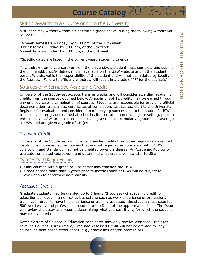#### Withdrawal from a Course or from the University

A student may withdraw from a class with a grade of "W" during the following withdrawal periods\*:

16 week semesters – Friday, by 5:00 pm, of the 13th week 8 week terms – Friday, by 5:00 pm, of the 5th week 5 week terms – Friday, by 5:00 pm, of the 3rd week

\*Specific dates are listed in the current years academic calendar.

To withdraw from a course(s) or from the university, a student must complete and submit the online add/drop/withdrawal form available on the USW website and in the student portal. Withdrawal is the responsibility of the student and will not be initiated by faculty or the Registrar. Failure to officially withdraw will result in a grade of "F" for the course(s).

#### **Sources of Alternative Academic Credit**

University of the Southwest accepts transfer credits and will consider awarding academic credits from the sources outlined below. A maximum of 12 credits may be earned through any one source or a combination of sources. Students are responsible for providing official documentation (transcripts, certificates of completion, test scores, etc.) to the University Registrar for evaluation and consideration of applying such credits to the student's USW transcript. Letter grades earned at other institutions or in a non-collegiate setting, prior to enrollment at USW, are not used in calculating a student's cumulative grade point average at USW and are given a grade of CR (credit).

#### Transfer Credit

University of the Southwest will consider transfer credits from other regionally accredited institutions; however, some courses that are not regarded as consistent with USW's curriculum and standards may not be credited toward a degree. An Academic Advisor will evaluate completed coursework and determine what credits will transfer to USW.

#### Transfer Credit Requirements:

- Only courses with a grade of B or better may transfer into USW
- Credit earned more than 6 years prior to matriculation at USW will be subject to evaluation to determine acceptability

#### Assessed Credit

Graduate students may be granted up to 6 hours (2 courses) of academic credit for education achieved in a non-collegiate setting such as work experience or professional training. In order to have this experience or training assessed, the student must submit a 500 word essay and professional resume to the Dean of the appropriate school. The Dean will review the essay and resume determining what courses, if any, for which the student may receive credit.

Note: Masters of Science in Education candidates may only receive Assessed Credit for Leveling Courses. Furthermore, Graduate Assessed Credit will not be granted for any counseling field-based experiences (e.g., practicums and/or internships).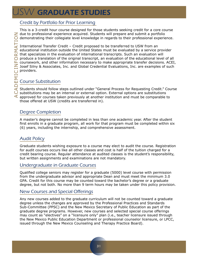# **SW GRADUATE STUDIES**

#### Credit by Portfolio for Prior Learning

This is a 3-credit hour course designed for those students seeking credit for a core course  $\geq$  due to professional experience acquired. Students will prepare and submit a portfolio  $\bigcirc$  demonstrating their collegiate level knowledge in regards to their professional experience.

International Transfer Credit – Credit proposed to be transferred to USW from an educational institution outside the United States must be evaluated by a service provider  $\alpha$  that specializes in the evaluation of international transcripts. Such an evaluation will produce a translation of the original transcript, an evaluation of the educational level of all  $\Box$  coursework, and other information necessary to make appropriate transfer decisions. ACEI, Josef Silny & Associates, Inc. and Global Credential Evaluations, Inc. are examples of such providers.

#### Course Substitution

Students should follow steps outlined under "General Process for Requesting Credit." Course substitutions may be an internal or external option. External options are substitutions approved for courses taken previously at another institution and must be comparable to those offered at USW (credits are transferred in).

#### Degree Completion

A master's degree cannot be completed in less than one academic year. After the student first enrolls in a graduate program, all work for that program must be completed within six (6) years, including the internship, and comprehensive assessment.

#### Audit Policy

Graduate students wishing exposure to a course may elect to audit the course. Registration for audit courses occurs like all other classes and cost is half of the tuition charged for a credit bearing course. Regular attendance at audited classes is the student's responsibility, but written assignments and examinations are not mandatory.

#### Undergraduate in Graduate Courses

Qualified college seniors may register for a graduate (5000) level course with permission from the undergraduate advisor and appropriate Dean and must meet the minimum 3.0 GPA. Credit for this course may be counted toward the bachelor's degree or a graduate degree, but not both. No more than 9 term hours may be taken under this policy provision.

#### New Courses and Special Offerings

Any new courses added to the graduate curriculum will not be counted toward a graduate degree unless the changes are approved by the Professional Practices and Standards Sub-Committee (PPSC) and the New Mexico Secretary of Public Education as part of the graduate degree programs. However, new courses and selected special course offerings may count as "electives" on a "licensure only" plan (i.e., teacher licensure issued through the New Mexico Public Education Department or professional counselor licensure, or LPCC, issued through the New Mexico Counseling and Therapy Practice Board).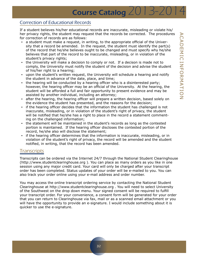**Course Catalog 2013** 

#### Correction of Educational Records

If a student believes his/her educational records are inaccurate, misleading or violate his/ her privacy rights, the student may request that the records be corrected. The procedures for correction of records are as follows:

- a student must make a request, in writing, to the appropriate official of the University that a record be amended. In the request, the student must identify the part(s) of the record that he/she believes ought to be changed and must specify why he/she believes that part of the record to be inaccurate, misleading, or in violation of the student's privacy rights;
- the University will make a decision to comply or not. If a decison is made not to comply, the University must notify the student of the decision and advise the student of his/her right to a hearing;
- upon the student's written request, the University will schedule a hearing and notify the student in advance of the date, place, and time;
- the hearing will be conducted by a hearing officer who is a disinterested party; however, the hearing officer may be an official of the University. At the hearing, the student will be afforded a full and fair opportunity to present evidence and may be assisted by another individual, including an attorney;
- after the hearing, the hearing officer will prepare a written decision, based solely on the evidence the student has presented, and the reasons for the decision;
- if the hearing officer decides that the information the student has challenged is not inaccurate, misleading, or in violation of the student's right of privacy, the student will be notified that he/she has a right to place in the record a statement commenting on the challenged information;
- the statement will be maintained in the student's records as long as the contested portion is maintained. If the hearing officer discloses the contested portion of the record, he/she also will disclose the statement;
- if the hearing officer determines that the information is inaccurate, misleading, or in violation of the student's right of privacy, the record will be amended and the student notified, in writing, that the record has been amended.

#### **Transcripts**

Transcripts can be ordered via the Internet 24/7 through the National Student Clearinghouse (http://www.studentclearinghouse.org ). You can place as many orders as you like in one session using any major credit card. Your card will only be charged after your transcript order has been completed. Status updates of your order will be e-mailed to you. You can also track your order online using your e-mail address and order number.

You may access the online transcript ordering service by contacting the National Student Clearinghouse at http://www.studentclearinghouse.org . You will need to select University of the Southwest on the drop down menu. Your signed consent will be required to fulfill your transcript order. For your convenience, a consent form will be generated for your order that you can return to Clearinghouse via fax, mail or as a scanned email attachment or you will have the opportunity to provide an e-signature. I would include something about it is quicker to use the e-signature.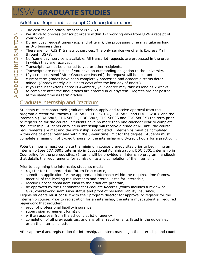# **SW GRADUATE STUDIES**

#### Additional Important Transcript Ordering Information

- The cost for one official transcript is \$7.50.
- We strive to process transcript orders within 1-2 working days from USW's receipt of your order.
- During busy request times (e.g. end of term), the processing time may take as long as 3-5 business days.
- There are no "RUSH" transcript services. The only service we offer is Express Mail through USPS.
- No "same day" service is available. All transcript requests are processed in the order in which they are received.
- Transcripts cannot be emailed to you or other recipients.
- Transcripts are not issued if you have an outstanding obligation to the university.
- If you request send "After Grades are Posted", the request will be held until all current term grades have been completely processed and academic status determined. (Approximately 2 business days after the last day of finals.)
- If you request "After Degree is Awarded", your degree may take as long as 2 weeks to complete after the final grades are entered in our system. Degrees are not posted at the same time as term grades.

#### Graduate Internship and Practicum

Students must contact their graduate advisor, apply and receive approval from the program director for Practica (EDC 5813, EDC 5813C, EDC 5823 and EDC 5823C) and the internship (EDA 5803, EDA 5803C, EDC 5803, EDC 5803S and EDC 5803M) the term prior to registering for the course. Students have no more than one calendar year to complete the internship. Students enrolled in internship will receive a grade of NC until the course requirements are met and the internship is completed. Internships must be completed within one calendar year and within the 6-year time limit for the degree. Students must complete a minimum of 3-credit hours for the internship and 3-credit hours for a practicum.

Potential interns must complete the minimum course prerequisites prior to beginning an internship (see EDA 5801 Internship in Educational Administration, EDC 5801 Internship in Counseling for the prerequisites.) Interns will be provided an internship program handbook that details the requirements for admission to and completion of the internship.

Prior to beginning the internship, students must:

- register for the appropriate Intern Prep course,
- submit an application for the appropriate internship within the required time frames,
- meet all of the leveling requirements and prerequisites for internship,
- receive unconditional admission to the graduate program,
- be approved by the Coordinator for Graduate Records (which includes a review of GPA, coursework, admission status and proof of personal liability insurance).

Eligible students must consult with their program director for approval to register for the internship course. Prior to registration for an internship, the intern must submit all required paperwork that includes:

- proof of professional liability insurance,
- supervision agreement form(s),
- written approval from the school district or agency
- completion of all pre-requisites, and any other requirements listed in the guidelines or on the internship letter.

After approval and registration for internship, an intern may begin the internship and count

Ζ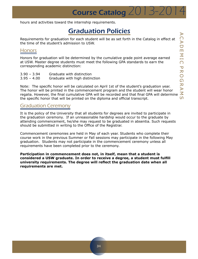hours and activities toward the internship requirements.

## Graduation Policies

Requirements for graduation for each student will be as set forth in the Catalog in effect at the time of the student's admission to USW.

#### **Honors**

Honors for graduation will be determined by the cumulative grade point average earned at USW. Master degree students must meet the following GPA standards to earn the corresponding academic distinction:

| $3.90 - 3.94$ | Graduate with distinction      |
|---------------|--------------------------------|
| $3.95 - 4.00$ | Graduate with high distinction |

Note: The specific honor will be calculated on April 1st of the student's graduation year. The honor will be printed in the commencement program and the student will wear honor regalia. However, the final cumulative GPA will be recorded and that final GPA will determine the specific honor that will be printed on the diploma and official transcript.

#### Graduation Ceremony

It is the policy of the University that all students for degrees are invited to participate in the graduation ceremony. If an unreasonable hardship would occur to the graduate by attending commencement, he/she may request to be graduated in absentia. Such requests should be submitted in writing to the Office of the Registrar.

Commencement ceremonies are held in May of each year. Students who complete their course work in the previous Summer or Fall sessions may participate in the following May graduation. Students may not participate in the commencement ceremony unless all requirements have been completed prior to the ceremony.

**Participation in commencement does not, in itself, mean that a student is considered a USW graduate. In order to receive a degree, a student must fulfill university requirements. The degree will reflect the graduation date when all requirements are met.**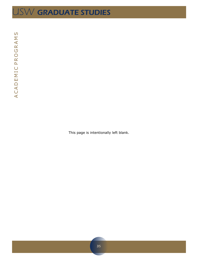# USW GRADUATE STUDIES

This page is intentionally left blank.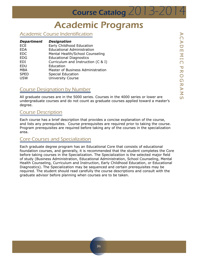# Academic Programs

#### Academic Course Indentification

| <b>Department</b> | <b>Designation</b>                 |
|-------------------|------------------------------------|
| <b>ECE</b>        | Early Childhood Education          |
| <b>EDA</b>        | <b>Educational Administration</b>  |
| <b>EDC</b>        | Mental Health/School Counseling    |
| <b>EDG</b>        | <b>Educational Diagnostics</b>     |
| <b>EDI</b>        | Curriculum and Instruction (C & I) |
| <b>EDU</b>        | Education                          |
| <b>MBA</b>        | Master of Business Administration  |
| <b>SPED</b>       | <b>Special Education</b>           |
| <b>USW</b>        | <b>University Course</b>           |

#### Course Designation by Number

All graduate courses are in the 5000 series. Courses in the 4000 series or lower are undergraduate courses and do not count as graduate courses applied toward a master's degree.

#### Course Description

Each course has a brief description that provides a concise explanation of the course, and lists any prerequisites. Course prerequisites are required prior to taking the course. Program prerequisites are required before taking any of the courses in the specialization area.

#### Core Courses and Specialization

Each graduate degree program has an Educational Core that consists of educational foundation courses, and generally, it is recommended that the student completes the Core before taking courses in the Specialization. The Specialization is the selected major field of study (Business Administration, Educational Administration, School Counseling, Mental Health Counseling, Curriculum and Instruction, Early Childhood Education, or Educational Diagnostics). The Specialization may be sequenced and certain prerequisites may be required. The student should read carefully the course descriptions and consult with the graduate advisor before planning when courses are to be taken.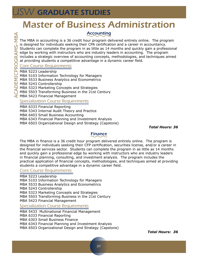## Master of Business Administration

## Accounting

The MBA in accounting is a 36 credit hour program delivered entirely online. The program is designed for individuals seeking their CPA certification and a career in accountancy. Students can complete the program in as little as 14 months and quickly gain a professional edge by working with instructors who are industry leaders in accounting. The program includes a strategic overview of accounting concepts, methodologies, and techniques aimed at providing students a competitive advantage in a dynamic career field.

### Core Course Requirements

MBA 5223 Leadership

- MBA 5103 Information Technology for Managers
- MBA 5533 Business Analytics and Econometrics
- MBA 5243 Controllership

MBA 5323 Marketing Concepts and Strategies

- MBA 5503 Transforming Business in the 21st Century
- $\triangle$  MBA 5423 Financial Management

## **Specialization Course Requirements**

MBA 6333 Financial Reporting

- MBA 5343 Internal Audit Theory and Practice
- MBA 6403 Small Business Accounting

MBA 6343 Financial Planning and Investment Analysis

MBA 6503 Organizational Design and Strategy (Capstone)

*Total Hours: 36* 

### Finance

The MBA in finance is a 36 credit hour program delivered entirely online. The program is designed for individuals seeking their CFP certification, securities license, and/or a career in the financial services sector. Students can complete the program in as little as 14 months and quickly gain a professional edge by working with instructors who are industry leaders in financial planning, consulting, and investment analysis. The program includes the practical application of financial concepts, methodologies, and techniques aimed at providing students a competitive advantage in a dynamic career field.

## Core Course Requirements

MBA 5223 Leadership MBA 5103 Information Technology for Managers MBA 5533 Business Analytics and Econometrics MBA 5243 Controllership MBA 5323 Marketing Concepts and Strategies MBA 5503 Transforming Business in the 21st Century MBA 5423 Financial Management **Specialization Course Requirements** 

MBA 5433 Multinational Financial Management

MBA 6333 Financial Reporting

MBA 6303 Small Business Finance

MBA 6343 Financial Planning and Investment Analysis

MBA 6503 Organizational Design and Strategy (Capstone)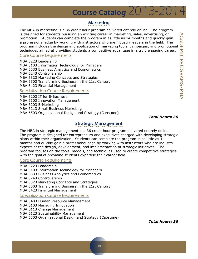

## Marketing

The MBA in marketing is a 36 credit hour program delivered entirely online. The program is designed for students pursuing an exciting career in marketing, sales, advertising, or promotion. Students can complete the program in as little as 14 months and quickly gain a professional edge by working with instructors who are industry leaders in the field. The program includes the design and application of marketing tools, campaigns, and promotional techniques aimed at providing students a competitive advantage in a truly engaging career.

#### Core Course Requirements

MBA 5223 Leadership

MBA 5103 Information Technology for Managers

MBA 5533 Business Analytics and Econometrics

MBA 5243 Controllership

MBA 5323 Marketing Concepts and Strategies

MBA 5503 Transforming Business in the 21st Century

MBA 5423 Financial Management

## **Specialization Course Requirements**

MBA 5203 IT for E-Business

MBA 6103 Innovation Management

MBA 6203 E-Marketing

MBA 6213 Small Business Marketing

MBA 6503 Organizational Design and Strategy (Capstone)

#### *Total Hours: 36*

### Strategic Management

The MBA in strategic management is a 36 credit hour program delivered entirely online. The program is designed for entrepreneurs and executives charged with developing strategic plans within their organization. Students can complete the program in as little as 14 months and quickly gain a professional edge by working with instructors who are industry experts at the design, development, and implementation of strategic initiatives. The program focuses on the tools, models, and techniques used to create competitive strategies with the goal of providing students expertise their career field.

#### Core Course Requirements

MBA 5223 Leadership MBA 5103 Information Technology for Managers MBA 5533 Business Analytics and Econometrics MBA 5243 Controllership MBA 5323 Marketing Concepts and Strategies MBA 5503 Transforming Business in the 21st Century MBA 5423 Financial Management Specialization Course Requirements

#### MBA 5403 Human Resource Management

MBA 6103 Managing Innovation

MBA 6113 Change Management

MBA 6123 Sustainability Management

MBA 6503 Organizational Design and Strategy (Capstone)

*Total Hours: 36*

Acade

mic Progra

Ms-ZB

 $\blacktriangleright$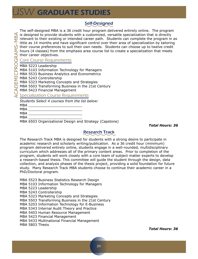## $\mathcal W$  GRADUATE STUDIES

## Self-Designed

relevant to their existing or intended career path. Students can complete the program in as<br>little as 14 months and have significant control over their area of specialization by tailoring<br>their course preferences to suit  $\leq$  is designed to provide students with a customized, versatile specialization that is directly The self-designed MBA is a 36 credit hour program delivered entirely online. The program little as 14 months and have significant control over their area of specialization by tailoring  $\Omega$  their course preferences to suit their own needs. Students can choose up to twelve credit hours (4 classes) from the emphasis area course list to create a specialization that meets their career objectives.

#### Core Course Requirements

MBA 5223 Leadership

MBA 5103 Information Technology for Managers

MBA 5533 Business Analytics and Econometrics

MBA 5243 Controllership

MBA 5323 Marketing Concepts and Strategies

MBA 5503 Transforming Business in the 21st Century

MBA 5423 Financial Management

### Specialization Course Requirements

*Students Select 4 courses from the list below:*

 $MBA$  $MBA$ 

MBA \_\_\_\_\_\_\_\_\_\_\_\_\_\_\_\_\_\_\_\_\_\_\_\_\_

MBA \_\_\_\_\_\_\_\_\_\_\_\_\_\_\_\_\_\_\_\_\_\_\_\_\_

MBA 6503 Organizational Design and Strategy (Capstone)

*Total Hours: 36* 

## Research Track

The Research Track MBA is designed for students with a strong desire to participate in academic research and scholarly writing/publication. As a 36 credit hour (minimum) program delivered entirely online, students engage in a well-rounded, multidisciplinary curriculum which addresses all of the primary content areas. Prior to completion of the program, students will work closely with a core team of subject matter experts to develop a research-based thesis. This committee will guide the student through the design, data collection, and analysis phases of the thesis project, providing a solid foundation for future study. Many Research Track MBA students choose to continue their academic career in a PhD/Doctoral program.

MBA 5523 Business Statistics Research Design

- MBA 5103 Information Technology for Managers
- MBA 5223 Leadership
- MBA 5243 Controllership
- MBA 5323 Marketing Concepts and Strategies

MBA 5503 Transforming Business in the 21st Century

MBA 5203 Information Technology for E-Business

MBA 5343 Internal Audit Theory and Practice

MBA 5403 Human Resource Management

MBA 5423 Financial Management

MBA 5433 Multinational Financial Management

MBA 5803 Thesis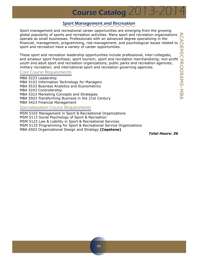### Sport Management and Recreation

**Course Catalog**  $\angle\cup$  13

Sport management and recreational career opportunities are emerging from the growing global popularity of sports and recreation activities. Many sport and recreation organizations operate as small businesses. Professionals with an advanced degree specializing in the financial, management, programming, risk-management, and psychological issues related to sport and recreation have a variety of career opportunities.

These sport and recreation leadership opportunities include professional, inter-collegiate, and amateur sport franchises; sport tourism; sport and recreation merchandizing; non-profit youth and adult sport and recreation organizations; public parks and recreation agencies; military recreation; and international sport and recreation governing agencies.

#### Core Course Requirements

MBA 5223 Leadership MBA 5103 Information Technology for Managers MBA 5533 Business Analytics and Econometrics MBA 5243 Controllership MBA 5323 Marketing Concepts and Strategies MBA 5503 Transforming Business in the 21st Century MBA 5423 Financial Management Specialiazation Course Requirements

MSM 5103 Management in Sport & Recreational Organizations MSM 5113 Social Psychology of Sport & Recreation MSM 5123 Law & Liability in Sport & Recreational Services MSM 5133 Programming for Sport & Recreational Service Organizations MBA 6503 Organizational Design and Strategy **(Capstone)**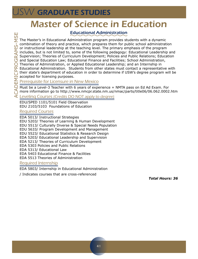## SW GRADUATE STUDIES

## Master of Science in Education

## Educational Administration

The Master's in Educational Administration program provides students with a dynamic combination of theory and practice, which prepares them for public school administration or instructional leadership at the teaching level. The primary emphasis of the program includes, but is not limited to, some of the following pedagogy: Educational Leadership and Supervision; Theories of Curriculum Development; Policies and Public Relations; Education and Special Education Law; Educational Finance and Facilities; School Administration, O Theories of Administration, or Applied Educational Leadership; and an Internship in  $\sum_{n=1}^{\infty}$  Educational Administration. Students from other states must contact a representative with their state's department of education in order to determine if USW's degree program will be accepted for licensing purposes.

### Prerequisite for Licensure in New Mexico

Must be a Level-3 Teacher with 6 years of experience + NMTA pass on Ed Ad Exam. For more information go to http://www.nmcpr.state.nm.us/nmac/parts/title06/06.062.0002.htm

#### Leveling Courses (Credits DO NOT apply to degree)

EDU/SPED 1101/5101 Field Observation EDU 2103/5103 Foundations of Education

#### Required Courses

EDA 5013/ Instructional Strategies EDU 5203/ Theories of Learning & Human Development EDU 5513/ Culturally Diverse & Special Needs Population EDU 5633/ Program Development and Management EDU 5523/ Educational Statistics & Research Design EDA 5203/ Educational Leadership and Supervision EDA 5213/ Theories of Curriculum Development EDA 5303 Policies and Public Relations EDA 5313/ Educational Law EDA 5403 Educational Finance & Facilities EDA 5513 Theories of Administration Required Internship

EDA 5803/ Internship in Educational Administration

/ Indicates courses that are cross-referenced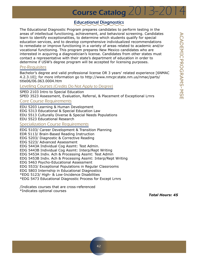## Educational Diagnostics

The Educational Diagnostic Program prepares candidates to perform testing in the areas of intellectual functioning, achievement, and behavioral screening. Candidates learn to identify exceptionalities, to determine which students qualify for special education services, and to develop comprehensive individualized recommendations to remediate or improve functioning in a variety of areas related to academic and/or vocational functioning. This program prepares New Mexico candidates who are interested in acquiring a diagnostician's license. Candidates from other states must contact a representative with their state's department of education in order to determine if USW's degree program will be accepted for licensing purposes.

#### Pre-Requisites

Bachelor's degree and valid professional license OR 3 years' related experience [6NMAC 4.2.3.10]; for more information go to http://www.nmcpr.state.nm.us/nmac/parts/ title06/06.063.0004.htm

#### Leveling Courses (Credits Do Not Apply to Degree)

SPED 2103 Intro to Special Education SPED 3523 Assessment, Evaluation, Referral, & Placement of Exceptional Lrnrs

## Core Course Requirements

EDU 5203 Learning & Human Development EDG 5313 Educational & Special Education Law EDU 5513 Culturally Diverse & Special Needs Populations EDU 5523 Educational Research **Specialization Course Requirements** EDG 5103/ Career Development & Transition Planning EDR 5113/ Brain-Based Reading Instruction EDG 5203/ Diagnostic & Corrective Reading EDG 5223/ Advanced Assessment EDG 5443A Individual Cog Assmt: Test Admin. EDG 5443B Individual Cog Assmt: Interp/Rept Writing EDG 5453A Indiv. Ach & Processing Assmt: Test Admin

EDG 5453B Indiv. Ach & Processing Assmt: Interp/Rept Writing

EDG 5463 Psycho-Educational Assessment

EDG 5533/ Exceptional Populations in Regular Classrooms

EDG 5803 Internship in Educational Diagnostics

\*EDG 5123/ High- & Low-Incidence Disabilities

\*EDG 5473 Educational Diagnostic Process for Except Lrnrs

/Indicates courses that are cross-referenced \*Indicates optional courses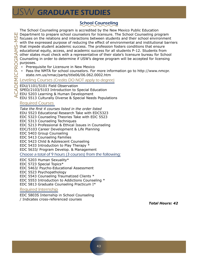## **SW GRADUATE STUDIES**

## School Counseling

The School Counseling program is accredited by the New Mexico Public Education Department to prepare school counselors for licensure. The School Counseling program focuses on the relations and interactions between students and their school environment  $\sum_{n=1}^{\infty}$  idcuses on the relations and increased purpose of reducing the effect of environmental and institutional barriers that impede student academic success. The profession fosters conditions that ensure educational equity, access, and academic success for all students P-12. Students from other states must check with a representative of their state's licensure bureau for School Counseling in order to determine if USW's degree program will be accepted for licensing purposes.

- **Prerequisite for Licensure in New Mexico**
- Pass the NMTA for school counselors. For more information go to http://www.nmcpr. state.nm.us/nmac/parts/title06/06.062.0002.htm

#### Leveling Courses (Credits DO NOT apply to degree)

EDU/1101/5101 Field Observation

 $\leq$  SPED/2103/5103 Introduction to Special Education

EDU 5203 Learning & Human Development

EDU 5513 Culturally Diverse & Special Needs Populations

#### Required Courses

*Take the first 4 courses listed in the order listed* EDU 5523 Educational Research Take with EDC5323 EDC 5323 Counseling Theories Take with EDC 5523 EDC 5313 Counseling Techniques EDC 5213 Professional & Ethical Issues in Counseling EDC/5103 Career Development & Life Planning EDC 5403 Group Counseling EDC 5413 Counseling Families EDC 5423 Child & Adolescent Counseling EDC 5433 Introduction to Play Therapy \* EDC 5633/ Program Develop. & Management Choose a total of 9 hours (3 courses) from the following: EDC 5203 Human Sexuality\*

EDC 5723 Special Topics\*

EDC 5463/ Psycho-Educational Assessment

EDC 5523 Psychopathology

EDC 5543 Counseling Traumatized Clients \*

EDC 5553 Introduction to Addictions Counseling \*

EDC 5813 Graduate Counseling Practicum I\*

#### Required Internship

EDC 5803S Internship in School Counseling / Indicates cross-referenced courses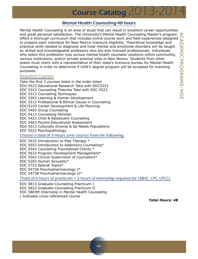## Mental Health Counseling-48 hours

**Course Catalog 2013-**

Mental Health Counseling is an area of study that can result in excellent career opportunities and great personal satisfaction. The University's Mental Health Counseling Master's program offers a thorough curriculum that includes online course work and field experiences designed to prepare each individual for New Mexico licensure eligibility. Theoretical knowledge and practical skills needed to diagnosis and treat mental and emotional disorders will be taught by skilled and knowledgeable professors who are also licensed professionals. Individuals who select this profession may pursue mental health counselor positions within community, various institutions, and/or private practice sites in New Mexico. Students from other states must check with a representative of their state's licensure bureau for Mental Health Counseling in order to determine if USW's degree program will be accepted for licensing purposes.

#### Required Courses

*Take the first 3 courses listed in the order listed* EDU 5523 Educational Research Take with EDC5323 EDC 5323 Counseling Theories Take with EDC 5523 EDC 5313 Counseling Techniques EDC 5203 Learning & Human Development EDC 5213 Professional & Ethical Issues in Counseling EDC/5103 Career Development & Life Planning EDC 5403 Group Counseling EDC 5413 Counseling Families EDC 5423 Child & Adolescent Counseling EDC 5463 Psycho-Educational Assessment EDU 5513 Culturally Diverse & Sp Needs Populations EDC 5523 Psychopathology Choose a total of 3 Hours (one course) from the following: EDC 5433 Introduction to Play Therapy \*

EDC 5553 Introduction to Addictions Counseling\*

EDC 5543 Counseling Traumatized Clients \*

EDC 5633 Program Development Management\*

EDC 5563 Clinical Supervision of Counselors\*

EDC 5203 Human Sexuality\*

EDC 5723 Special Topics\*

EDC 5473A Psychopharmacology I\*

EDC 5473B Psychopharmacology II\*

(Total of 6 hours of practicum + 3 hours of internship required for LMHC, LPC, LPCC)

EDC 5813 Graduate Counseling Practicum I

EDC 5823 Graduate Counseling Practicum II

EDC 5803M Internship in Mental Health Counseling

/ Indicates cross-referenced course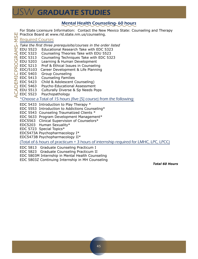## **SW GRADUATE STUDIES**

## Mental Health Counseling- 60 hours

For State Licensure Information: Contact the New Mexico State: Counseling and Therapy Ш ms- MSE Practice Board at www.rld.state.nm.us/counseling. <u>(</u>

#### Required Courses Σ

*Take the first three prerequisite/courses in the order listed*

- N<sub>S</sub> EDU 5523 Educational Research Take with EDC 5323
- $\blacktriangleleft$ Counseling Theories Take with EDU 5523
- EDC 5313 Counseling Techniques Take with EDC 5323
- **OGR** EDU 5203 Learning & Human Development
- EDC 5213 Prof & Ethical Issues in Counseling
- mic Progra EDC 5213 Prof & Ethical Issues in Counseling<br>EDC/5103 Career Development & Life Planning
- U EDC 5403 Group Counseling
	- EDC 5413 Counseling Families
- EDC 5423 Child & Adolescent Counseling)
- Acade EDC 5463 Psycho-Educational Assessment
- EDU 5513 Culturally Diverse & Sp Needs Pops
- EDC 5523 Psychopathology

#### \*Choose a Total of 15 hours (five [5] course) from the following:

- EDC 5433 Introduction to Play Therapy \*
- EDC 5553 Introduction to Addictions Counseling\*
- EDC 5543 Counseling Traumatized Clients \*
- EDC 5633 Program Development Management\*
- EDC5563 Clinical Supervision of Counselors\*
- EDC5203 Human Sexuality\*
- EDC 5723 Special Topics\*

EDC5473A Psychopharmacology I\*

EDC5473B Psychopharmacology II\*

(Total of 6 hours of practicum + 3 hours of internship required for LMHC, LPC, LPCC)

- EDC 5813 Graduate Counseling Practicum I
- EDC 5823 Graduate Counseling Practicum II
- EDC 5803M Internship in Mental Health Counseling
- EDC 5803Z Continuing Internship in MH Counseling

*Total 60 Hours*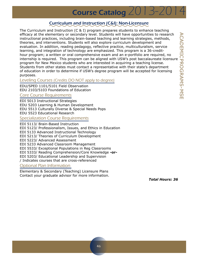

## Curriculum and Instruction (C&I): Non-Licensure

The Curriculum and Instruction (C & I) program prepares students to enhance teaching efficacy at the elementary or secondary level. Students will have opportunities to research instructional practices, including brain-based teaching and learning strategies, methods, theories, and interventions. Students will also explore curriculum development and evaluation. In addition, reading pedagogy, reflective practice, multiculturalism, service learning, and integration of technology are emphasized. This program is a 36-credithour program; a written or oral comprehensive exam and an e-portfolio are required, no internship is required. This program can be aligned with USW's post baccalaureate licensure program for New Mexico students who are interested in acquiring a teaching license. Students from other states must contact a representative with their state's department of education in order to determine if USW's degree program will be accepted for licensing purposes.

Leveling Courses (Credits DO NOT apply to degree)

EDU/SPED 1101/5101 Field Observation EDU 2103/5103 Foundations of Education

#### Core Course Requirements

EDI 5013 Instructional Strategies EDU 5203 Learning & Human Development EDU 5513 Culturally Diverse & Special Needs Pops EDU 5523 Educational Research

#### Specialization Course Requirements

EDI 5113/ Brain-Based Instruction

EDI 5123/ Professionalism, Issues, and Ethics in Education

EDI 5133 Advanced Instructional Technology

EDI 5213/ Theories of Curriculum Development

EDI 5223/ Advanced Assessment

EDI 5233 Advanced Classroom Management

EDI 5533/ Exceptional Populations in Reg Classrooms

EDI 5333/ Reading Comprehension/Core Knowledge **-or-**

EDI 5203/ Educational Leadership and Supervision

/ Indicates courses that are cross-referenced

#### Optional Plan Information

Elementary & Secondary (Teaching) Licensure Plans Contact your graduate advisor for more information.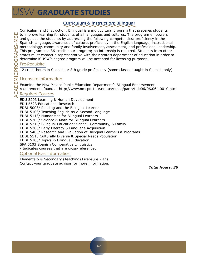## SW GRADUATE STUDIES

## Curriculum & Instruction: Bilingual

Curriculum and Instruction: Bilingual is a multicultural program that prepares students to improve learning for students of all languages and cultures. The program empowers and guides the students by addressing the following competencies: proficiency in the Spanish language, awareness of culture, proficiency in the English language, instructional methodology, community and family involvement, assessment, and professional leadership. This program is a 36-credit-hour program; no internship is required. Students from other states must contact a representative with their state's department of education in order to determine if USW's degree program will be accepted for licensing purposes.

#### Pre-Requisite

12 credit hours in Spanish or 8th grade proficiency (some classes taught in Spanish only)

## Licensure Information

Examine the New Mexico Public Education Department's Bilingual Endorsement requirements found at http://www.nmcpr.state.nm.us/nmac/parts/title06/06.064.0010.htm

#### Required Courses

EDU 5203 Learning & Human Development

EDU 5523 Educational Research

EDBL 5003/ Reading and the Bilingual Learner

EDBL 5103/ Teaching English-as-a-Second Language

EDBL 5113/ Humanities for Bilingual Learners

EDBL 5203/ Science & Math for Bilingual Learners

EDBL 5213/ Bilingual Education: School, Community, & Family

EDBL 5303/ Early Literacy & Language Acquisition

EDBL 5403/ Research and Evaluation of Bilingual Learners & Programs

EDBL 5513 Culturally Diverse & Special Needs Population

EDBL 5703/ Topics in Bilingual Education

SPA 5103 Spanish Comparative Linguistics

/ Indicates courses that are cross-referenced

#### Optional Plan Information

Elementary & Secondary (Teaching) Licensure Plans Contact your graduate advisor for more information.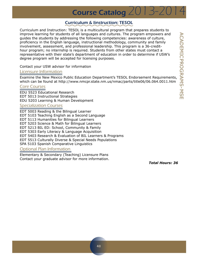

### Curriculum & Iinstruction: TESOL

Curriculum and Instruction: TESOL is a multicultural program that prepares students to improve learning for students of all languages and cultures. The program empowers and guides the students by addressing the following competencies: awareness of culture, proficiency in the English language, instructional methodology, community and family involvement, assessment, and professional leadership. This program is a 36-credithour program; no internship is required. Students from other states must contact a representative with their state's department of education in order to determine if USW's degree program will be accepted for licensing purposes.

Contact your USW advisor for information

#### Licensure Information

Examine the New Mexico Public Education Department's TESOL Endorsement Requirements, which can be found at http://www.nmcpr.state.nm.us/nmac/parts/title06/06.064.0011.htm

#### Core Courses

EDU 5523 Educational Research EDT 5013 Instructional Strategies EDU 5203 Learning & Human Development

#### **Specialization Courses**

EDT 5003 Reading & the Bilingual Learner EDT 5103 Teaching English as a Second Language EDT 5113 Humanities for Bilingual Learners EDT 5203 Science & Math for Bilingual Learners EDT 5213 BIL ED: School, Community & Family EDT 5303 Early Literacy & Language Acquisition EDT 5403 Research & Evaluation of BIL Learners & Programs EDT 5513 Culturally Diverse & Special Needs Populations SPA 5103 Spanish Comparative Linguistics Optional Plan Information

Elementary & Secondary (Teaching) Licensure Plans Contact your graduate advisor for more information.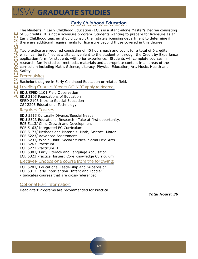## **SW GRADUATE STUDIES**

## Early Childhood Education

The Master's in Early Childhood Education (ECE) is a stand-alone Master's Degree consisting of 36 credits. It is not a licensure program. Students wanting to prepare for licensure as an Early Childhood teacher should consult their state's licensing department to determine if there are additional requirements for licensure beyond those covered in this degree.

Two practica are required consisting of 45 hours each and count for a total of 6 credits which can be fulfilled at a site convenient to the student or through the Credit by Experience application form for students with prior experience. Students will complete courses in research, family studies, methods, materials and appropriate content in all areas of the curriculum including Math, Science, Literacy, Physical Education, Art, Music, Health and Safety.

#### Prerequisites

Bachelor's degree in Early Childhood Education or related field.

Leveling Courses (Credits DO NOT apply to degree)

EDU/SPED 1101 Field Observation  $\leq$  EDU 2103 Foundations of Education SPED 2103 Intro to Special Education CSI 2203 Educational Technology

#### Required Courses

EDU 5513 Culturally Diverse/Special Needs EDU 5523 Educational Research - Take at first opportunity. ECE 5113/ Child Growth and Development ECE 5163/ Integrated EC Curriculum ECE 5173/ Methods and Materials: Math, Science, Motor ECE 5223/ Advanced Assessment ECE 5233/ Whole Child: Social Studies, Social Dev, Arts ECE 5263 Practicum I ECE 5273 Practicum II ECE 5303/ Early Literacy and Language Acquisition ECE 5323 Practical Issues: Core Knowledge Curriculum

Electives- Choose one course from the following:

ECE 5203/ Educational Leadership and Supervision ECE 5313 Early Intervention: Infant and Toddler / Indicates courses that are cross-referenced

### Optional Plan Information

Head-Start Programs are recommended for Practica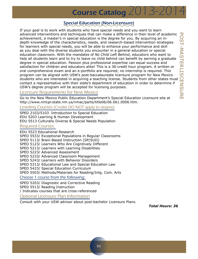

## Special Education (Non-Licensure)

If your goal is to work with students who have special needs and you want to learn advanced interventions and techniques that can make a difference in their level of academic achievement, a master's in special education is the degree for you. By acquiring an indepth knowledge of the characteristics, needs, and research-based intervention strategies for learners with special needs, you will be able to enhance your performance and skill as you deal with the diverse students you encounter in a general education or special education classroom. With the mandates of *No Child Left Behind*, educators who want to help all students learn and to try to leave no child behind can benefit by earning a graduate degree in special education. Passion plus professional expertise can equal success and satisfaction for children and educators alike! This is a 36-credit hour program. A written or oral comprehensive exam and an e-portfolio are required; no internship is required. This program can be aligned with USW's post-baccalaureate licensure program for New Mexico students who are interested in acquiring a teaching license. Students from other states must contact a representative with their state's department of education in order to determine if USW's degree program will be accepted for licensing purposes.

#### Licensure Requirements for New Mexico

Go to the New Mexico Public Education Department's Special Education Licensure site at http://www.nmcpr.state.nm.us/nmac/parts/title06/06.061.0006.htm.

Leveling Courses (Credits DO NOT apply to degree)

SPED 2103/5103 Introduction to Special Education EDU 5203 Learning & Human Development EDU 5513 Culturally Diverse & Special Needs Population

#### Required Courses:

EDU 5523 Educational Research SPED 5533/ Exceptional Populations in Regular Classrooms SPED 5113/ Brain-Based Instruction (SP/SUII) SPED 5123/ Learners Who Are Cognitively Different SPED 5213/ Learners with Learning Disabilities SPED 5223/ Advanced Assessment SPED 5233/ Advanced Classroom Management SPED 5243/ Learners with Behavior Disorders SPED 5313/ Educational Law and Special Education Law SPED 5423/ Special Education Curriculum SPED 5503/ Methods/Materials for Reading/Intg. Com. Arts Choose 1 course from the following: SPED 5203/ Diagnostic and Corrective Reading

SPED 5513/ Reading Instruction

/ Indicates courses that are cross-referenced

Optional Licensure Plan Information

Consult with your USW advisor about post-bachelor Licensure Plans.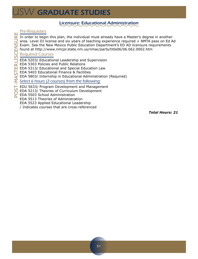## Licensure: Educational Administration

#### Pre-Requisties

cens ure In order to begin this plan, the individual must already have a Master's degree in another area. Level III license and six years of teaching experience required + NMTA pass on Ed Ad Exam. See the New Mexico Public Education Department's ED AD licensure requirements found at http://www.nmcpr.state.nm.us/nmac/parts/title06/06.062.0002.htm

### Required Courses

Ĕ EDA 5203/ Educational Leadership and Supervision

- EDA 5303 Policies and Public Relations  $\propto$
- $\overline{L}$  EDA 5313/ Educational and Special Education Law
- **ASTE** EDA 5403 Educational Finance & Facilities
	- EDA 5803/ Internship in Educational Administration (Required)
- $\sum_{i=1}^{n}$ Select 6 hours (2 courses) from the following:
- Post-Master Lis EDU 5633/ Program Development and Management
- POS<sup>-</sup> EDA 5213/ Theories of Curriculum Development
	- EDA 5503 School Administration
	- EDA 5513 Theories of Administration EDA 5523 Applied Educational Leadership / Indicates courses that are cross-referenced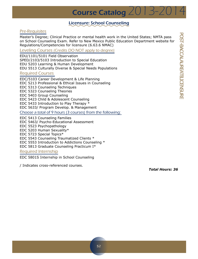## Licensure: School Counseling

#### Pre-Requisites

Master's Degree; Clinical Practice or mental health work in the United States; NMTA pass on School Counseling Exam. Refer to New Mexico Public Education Department website for Regulations/Competencies for licensure (6.63.6 NMAC)

Leveling Courses (Credits DO NOT apply to degree)

EDU/1101/5101 Field Observation SPED/2103/5103 Introduction to Special Education EDU 5203 Learning & Human Development EDU 5513 Culturally Diverse & Special Needs Populations

#### Required Courses

EDC/5103 Career Development & Life Planning EDC 5213 Professional & Ethical Issues in Counseling EDC 5313 Counseling Techniques EDC 5323 Counseling Theories EDC 5403 Group Counseling EDC 5423 Child & Adolescent Counseling EDC 5433 Introduction to Play Therapy \* EDC 5633/ Program Develop. & Management Choose a total of 9 hours (3 courses) from the following: EDC 5413 Counseling Families

EDC 5463/ Psycho-Educational Assessment EDC 5523 Psychopathology EDC 5203 Human Sexuality\* EDC 5723 Special Topics\* EDC 5543 Counseling Traumatized Clients \* EDC 5553 Introduction to Addictions Counseling \* EDC 5813 Graduate Counseling Practicum I\*

#### Required Internship

EDC 5801S Internship in School Counseling

/ Indicates cross-referenced courses.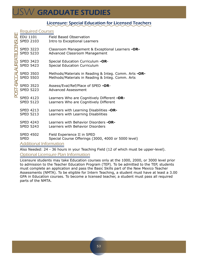## SW GRADUATE STUDIES

## Licensure: Special Education for Licensed Teachers

| <b>Required Courses</b>              |                               |                                                                                          |
|--------------------------------------|-------------------------------|------------------------------------------------------------------------------------------|
| EDU 1101<br><b>SPED 2103</b>         |                               | <b>Field Based Observation</b>                                                           |
|                                      |                               | Intro to Exceptional Learners                                                            |
| <b>SPED 3223</b><br><b>SPED 5233</b> |                               | Classroom Management & Exceptional Learners -OR-<br><b>Advanced Classroom Management</b> |
|                                      |                               |                                                                                          |
| <b>SPED 3423</b><br><b>SPED 5423</b> |                               | Special Education Curriculum -OR-<br>Special Education Curriculum                        |
| <b>SPED 3503</b>                     |                               | Methods/Materials in Reading & Integ. Comm. Arts -OR-                                    |
| <b>SPED 5503</b>                     |                               | Methods/Materials in Reading & Integ. Comm. Arts                                         |
| <b>SPED 3523</b>                     |                               | Assess/Eval/Ref/Place of SPED -OR-                                                       |
| <b>SPED 5223</b>                     |                               | <b>Advanced Assessment</b>                                                               |
| <b>SPED 4123</b>                     |                               | Learners Who are Cognitively Different -OR-                                              |
| <b>SPED 5123</b>                     |                               | Learners Who are Cognitively Different                                                   |
| <b>SPED 4213</b><br><b>SPED 5213</b> |                               | Learners with Learning Disabilities -OR-<br>Learners with Learning Disabilities          |
|                                      |                               |                                                                                          |
| <b>SPED 5243</b>                     | <b>SPED 4243</b>              | Learners with Behavior Disorders -OR-<br>Learners with Behavior Disorders                |
| <b>SPED 4502</b>                     |                               | Field Experience II in SPED                                                              |
| <b>SPED</b>                          |                               | Special Course Offerings (3000, 4000 or 5000 level)                                      |
|                                      | <b>Additional Information</b> |                                                                                          |

Also Needed: 24 - 36 hours in your Teaching Field (12 of which must be upper-level). Optional Licensure Plan Information

Licensure students may take Education courses only at the 1000, 2000, or 3000 level prior to admission to the Teacher Education Program (TEP). To be admitted to the TEP, students must complete an application and pass the Basic Skills part of the New Mexico Teacher Assessments (NMTA). To be eligible for Intern Teaching, a student must have at least a 3.00 GPA in Education courses. To become a licensed teacher, a student must pass all required parts of the NMTA.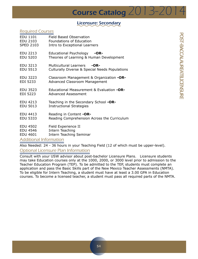## Licensure: Secondary

#### Required Courses

| EDU 1101             | Field Based Observation                                                            |
|----------------------|------------------------------------------------------------------------------------|
| EDU 2103             | Foundations of Education                                                           |
| SPED 2103            | Intro to Exceptional Learners                                                      |
| EDU 2213<br>EDU 5203 | Educational Psychology<br>$-OR-$<br>Theories of Learning & Human Development       |
| EDU 3213<br>EDU 5513 | Multicultural Learners<br>$-OR-$<br>Culturally Diverse & Special Needs Populations |
| EDU 3223             | Classroom Management & Organization -OR-                                           |
| EDI 5233             | <b>Advanced Classroom Management</b>                                               |
| EDU 3523             | Educational Measurement & Evaluation -OR-                                          |
| EDI 5223             | <b>Advanced Assessment</b>                                                         |
| EDU 4213             | Teaching in the Secondary School -OR-                                              |
| EDU 5013             | <b>Instructional Strategies</b>                                                    |
| EDU 4413             | Reading in Content -OR-                                                            |
| EDU 5333             | Reading Comprehension Across the Curriculum                                        |
| EDU 4502             | Field Experience II                                                                |
| EDU 4546             | Intern Teaching                                                                    |
| EDU 4601             | Intern Teaching Seminar                                                            |

Additional Information

Also Needed: 24 - 36 hours in your Teaching Field (12 of which must be upper-level).

Optional Licensure Plan Information

Consult with your USW advisor about post-bachelor Licensure Plans. Licensure students may take Education courses only at the 1000, 2000, or 3000 level prior to admission to the Teacher Education Program (TEP). To be admitted to the TEP, students must complete an application and pass the Basic Skills part of the New Mexico Teacher Assessments (NMTA). To be eligible for Intern Teaching, a student must have at least a 3.00 GPA in Education courses. To become a licensed teacher, a student must pass all required parts of the NMTA.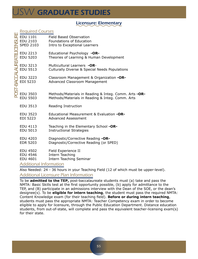## Licensure: Elementary

### Required Courses

|                              | ncyality courses                               |                                                                                                           |  |
|------------------------------|------------------------------------------------|-----------------------------------------------------------------------------------------------------------|--|
|                              | EDU 1101<br><b>EDU 2103</b>                    | Field Based Observation<br>Foundations of Education                                                       |  |
|                              | <b>SPED 2103</b>                               | Intro to Exceptional Learners                                                                             |  |
|                              | EDU 2213<br><b>EDU 5203</b>                    | Educational Psychology -OR-<br>Theories of Learning & Human Development                                   |  |
|                              | EDU 3213<br>EDU 5513                           | Multicultural Learners -OR-<br>Culturally Diverse & Special Needs Populations                             |  |
| <b>T-BACCALAUREATH ICENS</b> | <b>EDU 3223</b><br>EDI 5233                    | Classroom Management & Organization -OR-<br><b>Advanced Classroom Management</b>                          |  |
|                              | EDU 3503<br><b>EDU 5503</b>                    | Methods/Materials in Reading & Integ. Comm. Arts -OR-<br>Methods/Materials in Reading & Integ. Comm. Arts |  |
|                              | EDU 3513                                       | Reading Instruction                                                                                       |  |
|                              | EDU 3523<br>EDI 5223                           | Educational Measurement & Evaluation -OR-<br><b>Advanced Assessment</b>                                   |  |
|                              | EDU 4113<br>EDU 5013                           | Teaching in the Elementary School -OR-<br><b>Instructional Strategies</b>                                 |  |
|                              | EDU 4203<br><b>EDR 5203</b>                    | Diagnostic/Corrective Reading -OR-<br>Diagnostic/Corrective Reading (or SPED)                             |  |
|                              | <b>EDU 4502</b><br><b>EDU 4546</b><br>EDU 4601 | Field Experience II<br>Intern Teaching<br>Intern Teaching Seminar                                         |  |
|                              | <b>Additional Information</b>                  |                                                                                                           |  |

Also Needed: 24 - 36 hours in your Teaching Field (12 of which must be upper-level).

#### Additional Licensure Plan Information

To be **admitted to the TEP,** post-baccalaureate students must (a) take and pass the NMTA: Basic Skills test at the first opportunity possible, (b) apply for admittance to the TEP, and (B) participate in an admissions interview with the Dean of the SOE, or the dean's designee(s). To be **eligible for intern teaching**, the student must pass the required NMTA: Content Knowledge exam (for their teaching field). **Before or during intern teaching**, students must pass the appropriate NMTA: Teacher Competency exam in order to become eligible to apply for licensure, through the Public Education Department. Distance education students, from out-of-state, will complete and pass the equivalent teacher-licensing exam(s) for their state.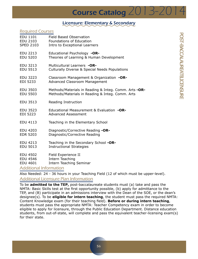## Licensure: Elementary & Secondary

#### Required Courses

| <b>EDU 1101</b>  | <b>Field Based Observation</b>                        |
|------------------|-------------------------------------------------------|
| EDU 2103         | Foundations of Education                              |
| <b>SPED 2103</b> | Intro to Exceptional Learners                         |
| EDU 2213         | Educational Psychology -OR-                           |
| <b>EDU 5203</b>  | Theories of Learning & Human Development              |
| EDU 3213         | Multicultural Learners -OR-                           |
| <b>EDU 5513</b>  | Culturally Diverse & Special Needs Populations        |
| EDU 3223         | Classroom Management & Organization -OR-              |
| EDI 5233         | Advanced Classroom Management                         |
| EDU 3503         | Methods/Materials in Reading & Integ. Comm. Arts -OR- |
| <b>EDU 5503</b>  | Methods/Materials in Reading & Integ. Comm. Arts      |
| EDU 3513         | Reading Instruction                                   |
| EDU 3523         | Educational Measurement & Evaluation -OR-             |
| EDI 5223         | <b>Advanced Assessment</b>                            |
| EDU 4113         | Teaching in the Elementary School                     |
| EDU 4203         | Diagnostic/Corrective Reading -OR-                    |
| <b>EDR 5203</b>  | Diagnostic/Corrective Reading                         |
| EDU 4213         | Teaching in the Secondary School -OR-                 |
| EDU 5013         | <b>Instructional Strategies</b>                       |
| EDU 4502         | Field Experience II                                   |
| <b>EDU 4546</b>  | Intern Teaching                                       |
| EDU 4601         | Intern Teaching Seminar                               |

#### Additional Information

Also Needed: 24 - 36 hours in your Teaching Field (12 of which must be upper-level).

#### Additional Licensure Plan Information

To be **admitted to the TEP,** post-baccalaureate students must (a) take and pass the NMTA: Basic Skills test at the first opportunity possible, (b) apply for admittance to the TEP, and (B) participate in an admissions interview with the Dean of the SOE, or the dean's designee(s). To be **eligible for intern teaching**, the student must pass the required NMTA: Content Knowledge exam (for their teaching field). **Before or during intern teaching**, students must pass the appropriate NMTA: Teacher Competency exam in order to become eligible to apply for licensure, through the Public Education Department. Distance education students, from out-of-state, will complete and pass the equivalent teacher-licensing exam(s) for their state.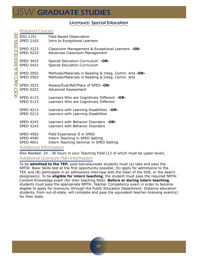### Licensure: Special Education

#### Required Courses

|             | <b>EDU 1101</b> | <b>SPED 2103</b>                                                                   | Field Based Observation<br>Intro to Exceptional Learners                                                  |
|-------------|-----------------|------------------------------------------------------------------------------------|-----------------------------------------------------------------------------------------------------------|
| <b>THVS</b> |                 | <b>SPED 3223</b><br><b>SPED 5233</b>                                               | Classroom Management & Exceptional Learners -OR-<br>Advanced Classroom Management                         |
| AI JRFATH I |                 | <b>SPED 3423</b><br><b>SPED 5423</b>                                               | Special Education Curriculum -OR-<br><b>Special Education Curriculum</b>                                  |
| <b>IRJ</b>  |                 | <b>SPED 3503</b><br><b>SPED 5503</b>                                               | Methods/Materials in Reading & Integ. Comm. Arts -OR-<br>Methods/Materials in Reading & Integ. Comm. Arts |
| <b>ASH</b>  |                 | <b>SPED 3523</b><br><b>SPED 5223</b>                                               | Assess/Eval/Ref/Place of SPED -OR-<br>Advanced Assessment                                                 |
|             |                 | <b>SPED 4123</b><br><b>SPED 5123</b>                                               | Learners Who are Cognitively Different -OR-<br>Learners Who are Cognitively Different                     |
|             |                 | <b>SPED 4213</b><br><b>SPED 5213</b>                                               | Learners with Learning Disabilities -OR-<br>Learners with Learning Disabilities                           |
|             |                 | <b>SPED 4243</b><br><b>SPED 5243</b>                                               | Learners with Behavior Disorders -OR-<br>Learners with Behavior Disorders                                 |
|             |                 | <b>SPED 4502</b><br><b>SPED 4546</b><br><b>SPED 4601</b><br>Additional Information | Field Experience II in SPED<br>Intern Teaching in SPED Setting<br>Intern Teaching Seminar in SPED Setting |

Additional Information

Also Needed: 24 - 36 hours in your Teaching Field (12 of which must be upper-level).

#### Additional Licensure Plan Information

To be **admitted to the TEP,** post-baccalaureate students must (a) take and pass the NMTA: Basic Skills test at the first opportunity possible, (b) apply for admittance to the TEP, and (B) participate in an admissions interview with the Dean of the SOE, or the dean's designee(s). To be **eligible for intern teaching**, the student must pass the required NMTA: Content Knowledge exam (for their teaching field). **Before or during intern teaching**, students must pass the appropriate NMTA: Teacher Competency exam in order to become eligible to apply for licensure, through the Public Education Department. Distance education students, from out-of-state, will complete and pass the equivalent teacher-licensing exam(s) for their state.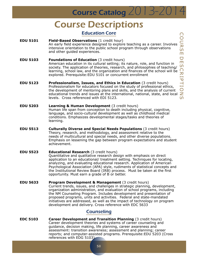## Course Descriptions

**Course Catalog**  $\angle\bigcup$   $\Box$ 

### Education Core

- **EDU 5101** Field-Based Observations (1 credit hour) An early field experience designed to explore teaching as a career. Involves intensive orientation to the public school program through observations and other guided experiences.
- **EDU 5103** Foundations of Education (3 credit hours) American education in its cultural setting; its nature, role, and function in society. The application of theories, research, and philosophies of teaching/ learning, school law, and the organization and finances of the school will be explored. Prerequisite:EDU 5101 or concurrent enrollment
- **EDU 5123 Professionalism, Issues, and Ethics in Education** (3 credit hours) Professionalism for educators focused on the study of professional ethics, the development of mentoring plans and skills, and the analysis of current educational trends and issues at the international, national, state, and local levels. Cross referenced with EDI 5123.
- **EDU 5203** Learning & Human Development (3 credit hours) Human life span from conception to death including physical, cognitive, language, and socio-cultural development as well as childhood medical conditions. Emphasizes developmental stages/tasks and theories of learning.
- **EDU 5513 Culturally Diverse and Special Needs Populations** (3 credit hours) Theory, research, and methodology, and assessment relative to the needs of multicultural and special needs, and other diverse populations. Emphasis on lessening the gap between program expectations and student achievement.
- **EDU 5523 Educational Research** (3 credit hours) Quantitative and qualitative research design with emphasis on direct application to an educational/ treatment setting. Techniques for locating, analyzing, and evaluating educational research. Application of American Psychological Association (APA) style, rudiments of statistical concepts and the Institutional Review Board (IRB) process. Must be taken at the first opportunity. Must earn a grade of B or better.
- **EDU 5633 Program Development & Management** (3 credit hours) Current trends, issues, and challenges in strategic planning, development, organization administration, and evaluation of school programs, including the NM Counseling Program. Includes development and presentation of proposed programs, units and activities. Federal and state-mandated initiatives are addressed, as well as the impact of technology on program development and delivery. Cross reference with EDC 5633

## Counseling

**EDC 5103 Career Development and Transition Planning** (3 credit hours) Career development theories and systems of career counseling and guidance, decision making, life planning, career awareness and assessment: transition awareness; assessment and planning; career reports; and computer-assisted programs. Prerequisite:EDU 5203 (Cross references with EDG 5103)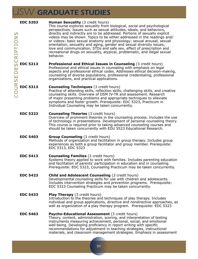## $\mathcal V$  GRADUATE STUDIES

ptions  $\Omega$ **CRIPTION** DES urse Co

#### **EDC 5203** Human Sexuality (3 credit hours)

This course explores sexuality from biological, social and psychological perspectives. Issues such as sexual attitudes, ideals, and behaviors, directly and indirectly are to be addressed. Portions of sexually explicit videos may be shown. Topics to be either addressed in the readings and/ or videos: basic sexual anatomy and physiology; sexual arousal, sexual orientation, sexuality and aging, gender and sexual diversity issues, love and communication, STDs and safe sex, effect of prescription and recreational drugs on sexuality, atypical, problematic, and illegal sexual behavior.

**EDC 5213** Professional and Ethical Issues in Counseling (3 credit hours) Professional and ethical issues in counseling with emphasis on legal aspects and professional ethical codes. Addresses ethical decision-making, counseling of diverse populations, professional credentialing, professional organizations, and practical applications.

#### **EDC 5313 Counseling Techniques** (3 credit hours)

Practice of attending skills, reflection skills, challenging skills, and creative counseling skills. Overview of DSM IV-TR and assessment. Research of major presenting problems and appropriate techniques to alleviate symptoms and foster growth. Prerequisite: EDC 5323, Practicum in Individual Counseling may be taken concurrently.

#### **EDC 5323 Counseling Theories** (3 credit hours)

Overview of prominent theories in the counseling process. Includes the use of technology in presentations. Development of personal counseling theory. This course is required prior to taking advanced counseling courses and should be taken concurrently with EDU 5523 Educational Research.

#### **EDC 5403 Group Counseling** (3 credit hours)

Methods of organization and facilitation in group therapy. Includes group experiences as both a group facilitator and group member. Prerequisite: EDC 5313, EDC 5323

## **EDC 5413 Counseling Families** (3 credit hours)

Systems theory applied to work with families. Includes parenting education and facilitation of parents' participation in education and in counseling. Prerequisite: EDC 5323, Counseling Practicum may be taken concurrently.

#### **EDC 5423 Child and Adolescent Counseling** (3 credit hours) Developmental counseling skills for use with children and adolescents. Includes intervention strategies and prevention programs. Prerequisite:

EDC 5323 Counseling Practicum may be taken concurrently. **EDC 5433** Play Therapy (3 credit hours) Introduction to the theories and techniques of play therapy. Includes individual and group applications, directive and nondirective approaches, as well as organization of a play therapy program. Prerequisite: EDC 5323

#### **EDC 5463 Psycho-Educational Assessment** (3 credit hours)

Theory, content, administration, scoring, and interpretation of testing instruments measuring achievement, personal, social, and emotional well-being. Developing proficiency in report writing with specific recommendations for adjustment in teaching strategies, instructional materials, and classroom management strategies. Emphasis in assessment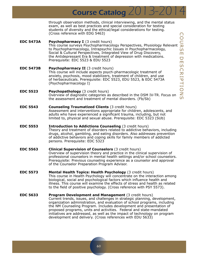

through observation methods, clinical interviewing, and the mental status exam, as well as best practices and special consideration for testing students of diversity and the ethical/legal considerations for testing. (Cross reference with EDG 5463)

- **EDC 5473A Psychopharmacy I** (3 credit hours) This course surveys Psychopharmacology Perspectives, Physiology Relevant to Psychopharmacology, Intrapsychic Issues in Psychopharmacology, Social & Cultural Perspectives, Integrated View of Drug Discovery, the Antidepressant Era & treatment of depression with medications. Prerequisite: EDC 5523 & EDU 5523
- **EDC 5473B** Psychopharmacy II (3 credit hours) This course will include aspects psych-pharmacologic treatment of anxiety, psychosis, mood stabilizers, treatment of children, and use of herbaceuticals. Prerequisite: EDC 5523, EDU 5523, & EDC 5473A (Psychopharmacology I)
- **EDC 5523** Psychopathology (3 credit hours) Overview of diagnostic categories as described in the DSM IV-TR. Focus on the assessment and treatment of mental disorders. (Fb/Sb)
- **EDC 5543 Counseling Traumatized Clients** (3 credit hours) Assessment and interventions appropriate for children, adolescents, and adults who have experienced a significant trauma, including, but not limited to, physical and sexual abuse. Prerequisite: EDC 5323 (SUb)
- **EDC 5553 Introduction to Addictions Counseling** (3 credit hours) Theory and treatment of disorders related to addictive behaviors, including drugs, alcohol, gambling, and eating disorders. Also addresses prevention of addictive behaviors and coping skills for family members of addicted persons. Prerequisite: EDC 5323
- **EDC 5563 Clinical Supervision of Counselors** (3 credit hours) Overview of supervision theory and practice in the clinical supervision of professional counselors in mental health settings and/or school counselors. Prerequisite: Previous counseling experience as a counselor and approval of the Counselor Preparation Program Advisor.
- **EDC 5573 Mental Health Topics: Health Psychology** (3 credit hours) This course in Health Psychology will concentrate on the interaction among biological, social and psychological factors which influence health and illness. This course will examine the effects of stress and health as related to the field of positive psychology. (Cross reference with PSY 5573).
- **EDC 5633 Program Development and Management** (3 credit hours) Current trends, issues, and challenges in strategic planning, development, organization administration, and evaluation of school programs, including the NM Counseling Program. Includes development and presentation of proposed programs, units and activities. Federal and state-mandated initiatives are addressed, as well as the impact of technology on program development and delivery. (Cross references with EDU 5633)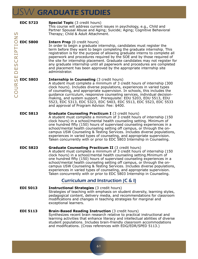## **GRADUATE STUDIES**

| EDC 5723<br><b>S</b><br>$\geq$                                                                                             | Special Topi<br>This course w<br>Partner Spou:<br>Therapy; Chil                                                                                              |
|----------------------------------------------------------------------------------------------------------------------------|--------------------------------------------------------------------------------------------------------------------------------------------------------------|
| $\overline{O}$<br><b>EDC 5800</b><br><b>CRIPTI</b><br><u>ທ</u><br>Ш<br>$\triangle$                                         | <b>Intern Prep</b><br>In order to be<br>term before t<br>registration is<br>paperwork ar<br>the site for in<br>any graduate<br>and placemer<br>administrator |
| Ш<br><b>EDC 5803</b><br>$\overline{S}$<br>$\propto$<br>$\overline{\phantom{0}}$<br>$\bar{\mathsf{o}}$<br>$\overline{\cup}$ | Internship i<br>A student mu<br>clock hours).<br>of counseling<br>guidance curi<br>making and                                                                |

#### **ic** (3 credit hours)

ill address current issues in psychology, e.g., Child and sal Abuse and Aging; Suicide; Aging; Cognitive Behavioral Id & Adult Attachment.

#### **EDC 5800 Intern Prep** (0 credit hours)

egin a graduate internship, candidates must register the hey want to begin completing the graduate internship. This for the purpose of allowing graduate interns to complete all d procedures required by the SOE and by those required of ternship placement. Graduate candidates may not register for internship until all paperwork and procedures are completed nt has been approved by the appropriate internship site administrator.

#### **n Counseling** (3 credit hours)

Ist complete a minimum of 3 credit hours of internship (300 Includes diverse populations, experiences in varied types , and appropriate supervision. In schools, this includes the riculum, responsive counseling services, individual decisionmaking, and system support. Prerequisite: EDU 5203, EDU 5513, EDU 5523, EDC 5313, EDC 5323, EDC 5403, EDC 5513, EDC 5523, EDC 5533 and approval of Program Advisor. Fee: \$400.

#### **EDC 5813 Graduate Counseling Practicum I** (3 credit hours)

A student must complete a minimum of 3 credit hours of internship (150 clock hours) in a school/mental health counseling setting. Minimum of one hundred fifty (150) hours of supervised counseling experiences in a school/mental health counseling setting off campus, or through the oncampus USW Counseling & Testing Services. Includes diverse populations, experiences in varied types of counseling, and appropriate supervision. Taken concurrently with or prior to EDC 5803 Internship in Counseling.

#### **EDC 5823 Graduate Counseling Practicum II** (3 credit hours)

A student must complete a minimum of 3 credit hours of internship (150 clock hours) in a school/mental health counseling setting.Minimum of one hundred fifty (150) hours of supervised counseling experiences in a school/mental health counseling setting off campus, or through the oncampus USW Counseling & Testing Services. Includes diverse populations, experiences in varied types of counseling, and appropriate supervision. Taken concurrently with or prior to EDC 5803 Internship in Counseling.

## Curriculum and Instruction (C & I)

#### **EDI 5013 Instructional Strategies** (3 credit hours) Strategies of teaching with emphasis on student diversity, learning styles, pedagogical content, delivery media, and recommendations for classroom modifications and changes in teaching strategies for marginal and exceptional learners.

**EDI 5113** Brain-Based Reading Instruction (3 credit hours) Synthesizes recent brain research relative to practical instructional and learning activities that enhance literacy and intellectual abilities of diverse student populations. Includes brain-friendly classroom accommodations and modifications. (Cross references with EDG/EDR/SPED 5113.)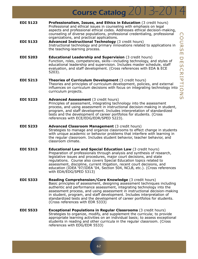# **Course Catalog**  $\angle$

- **EDI 5123 Professionalism, Issues, and Ethics in Education** (3 credit hours) Professional and ethical issues in counseling with emphasis on legal aspects and professional ethical codes. Addresses ethical decision-making, counseling of diverse populations, professional credentialing, professional organizations, and practical applications.
- **EDI 5133** Advanced Instructional Technology (3 credit hours) Instructional technology and primary innovations related to applications in the teaching-learning process.
- **EDI 5203 Educational Leadership and Supervision** (3 credit hours) Function, roles, competencies, skills—including technology, and styles of educational leadership and supervision. Includes master schedule, staff evaluation, and staff development. (Cross references with EDA & ECE 5203).
- **EDI 5213** Theories of Curriculum Development (3 credit hours) Theories and principles of curriculum development, policies, and external influences on curriculum decisions with focus on integrating technology into curriculum projects.
- **EDI 5223 Advanced Assessment** (3 credit hours) Principles of assessment, integrating technology into the assessment process, and using assessment in instructional decision-making in student, program, and staff development. Includes interpretation of standardized tests and the development of career portfolios for students. (Cross references with ECE/EDG/EDR/SPED 5223).
- **EDI 5233** Advanced Classroom Management (3 credit hours) Strategies to manage and organize classrooms to effect change in students with unique academic or behavior problems that interfere with learning in the regular classroom. Includes student behavior, teacher behavior, and classroom climate.
- **EDI 5313 Educational Law and Special Education Law** (3 credit hours) Preparation of professionals through analysis and synthesis of research, legislative issues and procedures, major court decisions, and state regulations. Course also covers Special Education topics related to assessment, discipline, current litigation, recent court decisions, and education (IDEA '97/IDEA '04, Section 504, NCLB, etc.). (Cross references with EDA/EDG/SPED 5313)
- **EDI 5333 Reading Comprehension/Core Knowledge** (3 credit hours) Basic principles of assessment, designing assessment techniques including authentic and performance assessment, integrating technology into the assessment process, and using assessment in instructional decision-making in student, program, and staff development. Includes interpretation of standardized tests and the development of career portfolios for students. (Cross references with EDR 5333)
- **EDI 5533 Exceptional Populations in Regular Classrooms** (3 credit hours) Strategies to organize, modify, and supplement the curricula; to provide appropriate learning activities on an individual basis; to assess exceptional students in reading and other curricula in the regular classroom. (Cross references with EDG/EDR 5533)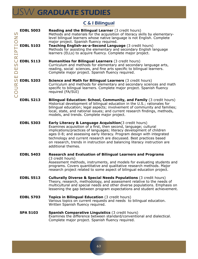## $\mathcal N$  GRADUATE STUDIES

Des

## C & I Bilingual

- **EDBL 5003** Reading and the Bilingual Learner (3 credit hours) ptions  $\Omega$ Methods and materials for the acquisition of literacy skills by elementary-**CRIPTION** level bilingual learners whose native language is not English. Complete major project. Spanish fluency required.
	- **EDBL 5103 Teaching English-as-a-Second Language** (3 credit hours) Methods for assisting the elementary and secondary English language learners (ELLs) to acquire fluency. Complete major project.
	- **EDBL 5113 Humanities for Bilingual Learners** (3 credit hours) Curriculum and methods for elementary and secondary language arts, reading, social sciences, and fine arts specific to bilingual learners. Complete major project. Spanish fluency required.
- Co urse **EDBL 5203 Science and Math for Bilingual Learners** (3 credit hours) Curriculum and methods for elementary and secondary sciences and math specific to bilingual learners. Complete major project. Spanish fluency required (FA/SUI)
	- **EDBL 5213** Bilingual Education: School, Community, and Family (3 credit hours) Historical development of bilingual education in the U.S.; rationales for bilingual education; legal aspects; involvement of community and families; local, state, and national issues; and current research findings, methods, models, and trends. Complete major project.
	- **EDBL 5303 Early Literacy & Language Acquisition**(3 credit hours) Examines acquisition of a first, then second, language; cultural implications/practices of languages; literacy development of children ages 0-8; and assessing early literacy. Program design with integrated technology and current research are discussed. Best practices based on research, trends in instruction and balancing literacy instruction are additional themes.
	- **EDBL 5403 Research and Evaluation of Bilingual Learners and Programs** (3 credit hours) Assessment methods, instruments, and models for evaluating students and programs. Covers quantitative and qualitative research methods. Major research project related to some aspect of bilingual education project.
	- **EDBL 5513 Culturally Diverse & Special Needs Populations** (3 credit hours) Theory, research, methodology, and assessment relative to the needs of multicultural and special needs and other diverse populations. Emphasis on lessening the gap between program expectations and student achievement.
	- **EDBL 5703** Topics in Bilingual Education (3 credit hours) Various topics on current requests and needs to bilingual education. Written Spanish fluency required.
	- **SPA 5103 Spanish Comparative Linguistics** (3 credit hours) Examines the difference between standard/conventional and dialectical. Complete major project. Spanish fluency required.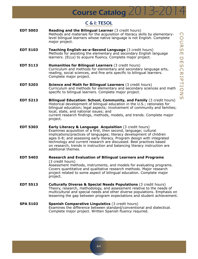## Course Catalog  $\angle$



- **EDT 5003** Reading and the Bilingual Learner (3 credit hours) Methods and materials for the acquisition of literacy skills by elementarylevel bilingual learners whose native language is not English. Complete major project.
- **EDT 5103 Teaching English-as-a-Second Language** (3 credit hours) Methods for assisting the elementary and secondary English language learners. (ELLs) to acquire fluency. Complete major project.
- **EDT 5113** Humanities for Bilingual Learners (3 credit hours) Curriculum and methods for elementary and secondary language arts, reading, social sciences, and fine arts specific to bilingual learners. Complete major project.
- **EDT 5203 Science and Math for Bilingual Learners** (3 credit hours) Curriculum and methods for elementary and secondary sciences and math specific to bilingual learners. Complete major project.
- **EDT 5213** Bilingual Education: School, Community, and Family (3 credit hours) Historical development of bilingual education in the U.S.; rationales for bilingual education; legal aspects; involvement of community and families; local, state, and national issues; and current research findings, methods, models, and trends. Complete major project.
- **EDT 5303 Early Literacy & Language Acquisition** (3 credit hours) Examines acquisition of a first, then second, language; cultural implications/practices of languages; literacy development of children ages 0-8; and assessing early literacy. Program design with integrated technology and current research are discussed. Best practices based on research, trends in instruction and balancing literacy instruction are additional themes.
- **EDT 5403 Research and Evaluation of Bilingual Learners and Programs** (3 credit hours) Assessment methods, instruments, and models for evaluating programs. Covers quantitative and qualitative research methods. Major research project related to some aspect of bilingual education. Complete major project.
- **EDT 5513 Culturally Diverse & Special Needs Populations** (3 credit hours) Theory, research, methodology, and assessment relative to the needs of multicultural and special needs and other diverse populations. Emphasis on lessening the gap between program expectations and student achievement.
- **SPA 5103 Spanish Comparative Linguistics** (3 credit hours) Examines the difference between standard/conventional and dialectical. Complete major project. Written Spanish fluency required.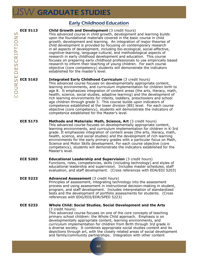## Early Childhood Education

### **ECE 5113** Child Growth and Development (3 credit hours)

This advanced course in child growth, development and learning builds upon the foundational materials covered in the basic course in child growth, development and learning. An integration of major theories of child development is provided by focusing on contemporary research in all aspects of development, including bio-ecological, social-affective, cognitive-learning, language-cultural, and methodological aspects of research in early childhood development and education. This course focuses on preparing early childhood professionals to use empirically based research to inform their teaching of young children. For each course objective (core competency) students will demonstrate the indicators established for the master's level.

#### **ECE 5163** Integrated Early Childhood Curriculum (3 credit hours)

This advanced course focuses on developmentally appropriate content, learning environments, and curriculum implementation for children birth to age 8. It emphasizes integration of content areas (the arts, literacy, math, health, science, social studies, adaptive learning) and the development of rich learning environments for infants, toddlers, preschoolers and school age children through grade 3. This course builds upon indicators of competence established at the lower division (BS) level. For each course objective (core competency), students will demonstrate the indicators of competence established for the Master's level.

#### **ECE 5173** Methods and Materials: Math, Science, Art (3 credit hours) This advanced course focuses on developmentally appropriate content, learning environments, and curriculum implementation for children in K-3rd grade. It emphasizes integration of content areas (the arts, literacy, math, health, science, and social studies) and the development of rich learning environments for the early primary grades with a particular focus on Math, Science and Motor Skills development. For each course objective (core competency), students will demonstrate the indicators established for the Master's level.

**ECE 5203 Educational Leadership and Supervision** (3 credit hours) Functions, roles, competencies, skills (including technology) and styles of educational leadership and supervision. Includes master schedules, staff evaluation, and staff development. (Cross references with EDA/EDI 5203)

#### **ECE 5223 Advanced Assessment** (3 credit hours) Principles of assessment, integrating technology into the assessment process and using assessment in instructional decision-making in student, program, and staff development. Includes interpretation of standardized tests and the development of portfolio assessments for students. (Cross references with EDG/EDI/EDR/SPED 5223)

#### **ECE 5233 Whole Child: Social Studies, Social Development and the Arts** (3 credit hours)

This advanced course focuses on one of the core concepts of teaching primary school children: the Whole Child approach. Emphasis is on developmentally appropriate content, learning environments, and curriculum implementation for children from Birth through 3rd grade in a diverse society. It combines appropriate social studies content and its depictions through art, with the closely related areas of social development and family/community partnerships. Integration with other content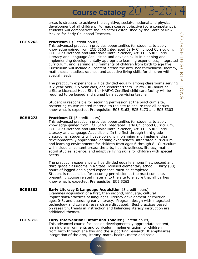

areas is stressed to achieve the cognitive, social/emotional and physical development of all children. For each course objective (core competency), students will demonstrate the indicators established by the State of New Mexico for Early Childhood Teachers.

#### **ECE 5263** Practicum I (3 credit hours)

This advanced practicum provides opportunities for students to apply knowledge gained from ECE 5163 Integrated Early Childhood Curriculum, ECE 5173 Methods and Materials: Math, Science, Art, ECE 5303 Early Literacy and Language Acquisition and develop skills in planning and implementing developmentally appropriate learning experiences, integrated curriculum, and learning environments of children from birth to age five. Curriculum will include all content areas: the arts, health/wellness, literacy, math, social studies, science, and adaptive living skills for children with special needs.

The practicum experience will be divided equally among classrooms serving B-2 year-olds, 3-5 year-olds, and kindergartners. Thirty (30) hours at a State Licensed Head Start or NAEYC Certified child care facility will be required to be logged and signed by a supervising teacher.

Student is responsible for securing permission at the practicum site, presenting course related material to the site to ensure that all parties know what is expected. Prerequisite: ECE 5163, ECE 5173 and ECE 5303

#### **ECE 5273** Practicum II (3 credit hours)

This advanced practicum provides opportunities for students to apply knowledge gained from ECE 5163 Integrated Early Childhood Curriculum, ECE 5173 Methods and Materials: Math, Science, Art, ECE 5303 Early Literacy and Language Acquisition. In the first through third grade classrooms, students will develop skills in planning and implementing developmentally appropriate learning experiences, integrated curriculum, and learning environments for children from ages 6 through 8. Curriculum will include all content areas: the arts, health/wellness, literacy, math, social studies, science, and adaptive living skills for children with special needs.

The practicum experience will be divided equally among first, second and third grade classrooms in a State Licensed elementary school. Thirty (30) hours of logged and signed experience must be completed. Student is responsible for securing permission at the practicum site, presenting course related material to the site to ensure that all parties know what is expected. Prerequisite: ECE 5263

- **ECE 5303 Early Literacy & Language Acquisition** (3 credit hours) Examines acquisition of a first, then second, language, cultural implications/practices of languages, literacy development of children ages 0-8, and assessing early literacy. Program design with integrated technology and current research are discussed. Best practices based on research, trends in instruction and balancing literacy instruction are additional themes.
- **ECE 5313 Early Intervention: Infant and Toddler** (3 credit hours) This advanced course focuses on developmentally appropriate content, learning environments and curriculum implementation for children from birth through age two and the supporting research. It emphasizes integration of the arts, literacy, math, health, motor and social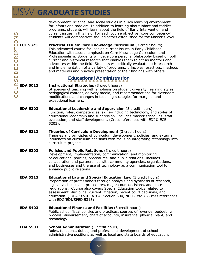## $\mathcal N$  GRADUATE STUDIES

development, science, and social studies in a rich learning environment for infants and toddlers. In addition to learning about infant and toddler programs, students will learn about the field of Early Intervention and current issues in this field. For each course objective (core competency), students will demonstrate the indicators established for the Master's level.

**ECE 5323 Practical Issues: Core Knowledge Curriculum** (3 credit hours) This advanced course focuses on current issues in Early Childhood Education with special emphasis on Core Knowledge Curriculum and Professionalism. Students will develop a personal philosophy based on both current and historical research that enables them to act as mentors and advocates within the field. Students will critically evaluate both research and implementation of a variety of programs, principles, practices, methods and materials and practice presentation of their findings with others.

## Educational Administration

- **EDA 5013 Instructional Strategies** (3 credit hours) Strategies of teaching with emphasis on student diversity, learning styles, pedagogical content, delivery media, and recommendations for classroom modifications and changes in teaching strategies for marginal and exceptional learners.
- **EDA 5203 Educational Leadership and Supervision** (3 credit hours) Function, roles, competencies, skills—including technology, and styles of educational leadership and supervision. Includes master schedules, staff evaluation, and staff development. (Cross references with EDI & ECE 5203).
- **EDA 5213** Theories of Curriculum Development (3 credit hours) Theories and principles of curriculum development, policies, and external influences on curriculum decisions with focus on integrating technology into curriculum projects.
- **EDA 5303** Policies and Public Relations (3 credit hours) Development, implementation, communication, and monitoring of educational policies, procedures, and public relations. Includes collaboration and partnerships with community agencies, organizations, and businesses and the use of technology as a communication tool to enhance public relations.
- **EDA 5313 Educational Law and Special Education Law** (3 credit hours) Preparation of professionals through analysis and synthesis of research, legislative issues and procedures, major court decisions, and state regulations. Course also covers Special Education topics related to assessment, discipline, current litigation, recent court decisions, and education. (IDEA '97/IDEA '04, Section 504, NCLB, etc.). (Cross references with EDG/EDI/SPED 5313)
- **EDA 5403 Educational Finance and Facilities** (3 credit hours) Public school fiscal policies and practices, sources of revenue, budgeting process, disbursement, chart of accounts, insurance, physical plant, and technology.
- **EDA 5503 School Administration** (3 credit hours) Roles, functions, duties, and professional development of school administrative positions as well as local and state boards of education.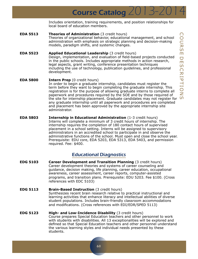

Co

urse

E<br>S

cr i

pt ions

Includes orientation, training requirements, and position relationships for local board of education members.

- **EDA 5513** Theories of Administration (3 credit hours) Theories of organizational behavior, educational management, and school administration with emphasis on strategic planning and decision-making models, paradigm shifts, and systemic changes.
- **EDA 5523 Applied Educational Leadership** (3 credit hours) Design, implementation, and evaluation of field-based projects conducted in the public schools. Includes appropriate methods in action research, legal aspects, grant writing, conference presentation techniques including the use of technology, publication guidelines, and professional development.
- **EDA 5800 Intern Prep** (0 credit hours) In order to begin a graduate internship, candidates must register the term before they want to begin completing the graduate internship. This registration is for the purpose of allowing graduate interns to complete all paperwork and procedures required by the SOE and by those required of the site for internship placement. Graduate candidates may not register for any graduate internship until all paperwork and procedures are completed and placement has been approved by the appropriate internship site administrator.
- **EDA 5803 Internship in Educational Administration** (1-3 credit hours) Interns will complete a minimum of 3 credit hours of internship. The internship requires the completion of 180 contact hours of supervised placement in a school setting. Interns will be assigned to supervisory administrators in an accredited school to participate in and observe the administrative functions of the school. Must open and close the school year. Prerequisite: EDU core, EDA 5203, EDA 5313, EDA 5403, and permission required. Fee: \$400.

## Educational Diagnostics

- **EDG 5103 Career Development and Transition Planning** (3 credit hours) Career development theories and systems of career counseling and guidance, decision making, life planning, career education, occupational awareness, career assessment, career reports, computer-assisted programs, and transition plans. Prerequisite: EDU 5203. Fee \$100. (Cross references with EDC 5103)
- **EDG 5113** Brain-Based Instruction (3 credit hours) Synthesizes recent brain research relative to practical instructional and learning activities that enhance literacy and intellectual abilities of diverse student populations. Includes brain-friendly classroom accommodations and modifications. (Cross references with EDI/EDR/SPED 5113)
- **EDG 5123** High- and Low-Incidence Disability (3 credit hours) Course prepares Special Education teachers and other personnel to work with students with disabilities. All 13 exceptionalities will be explored and defined so that Special Education teachers and other personnel understand the various learning styles and individual needs presented by these students.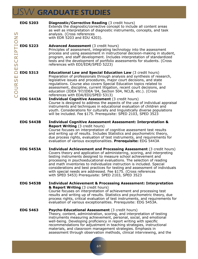# USW GRADUATE STUDIES

|                                                     | <b>EDG 5203</b>  | <b>Diagnostic/Corrective Reading (3 credit hours)</b><br>Extends the diagnostic/corrective concept to include all content areas<br>as well as interpretation of diagnostic instruments, concepts, and task                                                                                                                                                                                                                                                                                                                                                                        |
|-----------------------------------------------------|------------------|-----------------------------------------------------------------------------------------------------------------------------------------------------------------------------------------------------------------------------------------------------------------------------------------------------------------------------------------------------------------------------------------------------------------------------------------------------------------------------------------------------------------------------------------------------------------------------------|
| CRIPTIONS<br>$\Omega$<br>ш<br>ш<br>$\Omega$<br>COUR |                  | analysis. (Cross references<br>with EDR 5203 and EDU 4203).                                                                                                                                                                                                                                                                                                                                                                                                                                                                                                                       |
|                                                     | <b>EDG 5223</b>  | <b>Advanced Assessment</b> (3 credit hours)<br>Principles of assessment, integrating technology into the assessment<br>process and using assessment in instructional decision-making in student,<br>program, and staff development. Includes interpretation of standardized<br>tests and the development of portfolio assessments for students. (Cross<br>references with EDI/EDR/SPED 5223)                                                                                                                                                                                      |
|                                                     | △ EDG 5313       | <b>Educational Law and Special Education Law</b> (3 credit hours)<br>Preparation of professionals through analysis and synthesis of research,<br>legislative issues and procedures, major court decisions, and state<br>regulations. Course also covers Special Education topics related to<br>assessment, discipline, current litigation, recent court decisions, and<br>education (IDEA '97/IDEA '04, Section 504, NCLB, etc.). (Cross<br>references with EDA/EDI/SPED 5313)                                                                                                    |
|                                                     | <b>EDG 5443A</b> | Individual Cognitive Assessment (3 credit hours)<br>Course is designed to address the aspects of the use of individual appraisal<br>instruments and techniques in educational evaluation of children and<br>youth. Considerations for culturally and linguistically diverse populations<br>will be included. Fee \$175. Prerequisite: SPED 2103, SPED 3523                                                                                                                                                                                                                        |
|                                                     | <b>EDG 5443B</b> | <b>Individual Cognitive Assessment Assessment: Interpretation &amp;</b><br><b>Report Writing (3 credit hours)</b><br>Course focuses on interpretation of cognitive assessment test results<br>and writing up of results. Includes Statistics and psychometric theory,<br>due process rights, evaluation of test instruments, and requirements for<br>evaluation of various exceptionalities. Prerequisite: EDG 5443A                                                                                                                                                              |
|                                                     | <b>EDG 5453A</b> | <b>Individual Achievement and Processing Assessment (3 credit hours)</b><br>Covers theory and application of administering, scoring, and interpreting<br>testing instruments designed to measure school achievement and<br>processing in psychoeducational evaluations. The selection of reading<br>and math inventories to individualize instruction is included. Special<br>considerations and best practices for testing and assessment of individuals<br>with special needs are addressed. Fee \$175. (Cross references<br>with SPED 5453) Prerequisite: SPED 2103, SPED 3523 |
|                                                     | <b>EDG 5453B</b> | <b>Individual Achievement &amp; Processing Assessment: Interpretation</b><br>& Report Writing (3 credit hours)<br>Course focuses on interpretation of achievement and processing test<br>results and writing up of results. Statistics and psychometric theory, due<br>process rights, critical evaluation of test instruments, and requirements for<br>evaluation of various exceptionalities. Prerequisite: EDG 5453A.                                                                                                                                                          |
|                                                     | <b>EDG 5463</b>  | Psycho-Educational Assessment (3 credit hours)<br>Theory, content, administration, scoring, and interpretation of testing<br>instruments measuring achievement, personal, social, and emotional<br>well-being. Developing proficiency in report writing with specific<br>recommendations for adjustment in teaching strategies, instructional<br>materials, and classroom management strategies. Emphasis in<br>assessment through observation methods, clinical interviewing, and the                                                                                            |
|                                                     |                  |                                                                                                                                                                                                                                                                                                                                                                                                                                                                                                                                                                                   |

69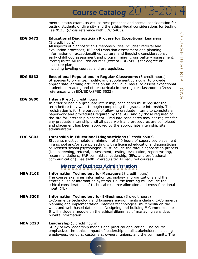

mental status exam, as well as best practices and special consideration for testing students of diversity and the ethical/legal considerations for testing. Fee \$125. (Cross reference with EDC 5463).

#### **EDG 5473 Educational Diagnostician Process for Exceptional Learners** (3 credit hours)

All aspects of diagnostician's responsibilities includes: referral and evaluation processes; IEP and transition assessment and planning; information on exceptionalities; cultural and linguistic considerations; early childhood assessment and programming; cross battery assessment. Prerequisite: All required courses (except EDG 5803) for degree or licensure plan,

including leveling courses and prerequisites.

- **EDG 5533 Exceptional Populations in Regular Classrooms** (3 credit hours) Strategies to organize, modify, and supplement curricula; to provide appropriate learning activities on an individual basis, to assess exceptional students in reading and other curricula in the regular classroom. (Cross references with EDI/EDR/SPED 5533)
- **EDG 5800 Intern Prep** (0 credit hours) In order to begin a graduate internship, candidates must register the term before they want to begin completing the graduate internship. This registration is for the purpose of allowing graduate interns to complete all paperwork and procedures required by the SOE and by those required of the site for internship placement. Graduate candidates may not register for any graduate internship until all paperwork and procedures are completed and placement has been approved by the appropriate internship site administrator.
- **EDG 5803 Internship in Educational Diagnosticians** (3 credit hours) Students must complete a minimum of 240 hours of supervised placement in a school and/or agency setting with a licensed educational diagnostician or licensed school psychologist. Must include the total diagnostician process (i.e., screening, referral, assessment, testing, evaluation, report writing, recommendations, EAR committee leadership, IEPs, and professional communication). Fee \$400. Prerequisite: All required courses.

### Master of Business Administration

- **MBA 5103 Information Technology for Managers** (3 credit hours) The course examines information technology in organizations and the strategic use of information systems. Course learning will include the ethical considerations of technical resource allocation and cross-functional input. (Fb)
- **MBA 5203 Information Technology for E-Business** (3 credit hours) E-Commerce technology and business environments including E-Commerce planning and implementation, internet technologies, multimedia on the web, and web-based databases. Designing and building E-Commerce sites. It will include a module on the ethical dilemmas of managing sensitive, private information.

#### **MBA 5223** Leadership (3 credit hours) Study of key leadership models and practical application. The course emphasizes the ethical impact of leadership on all stakeholders including employees, vendors, customers, owners, unions, and the community. The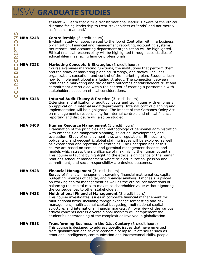## $\mathrm{\mathcal{N}}$  GRADUATE STUDIES

student will learn that a true transformational leader is aware of the ethical dilemma facing leadership to treat stakeholders as "ends" and not merely as "means to an end."

#### **MBA 5243 Controllership** (3 credit hours)

In-depth study of issues related to the job of Controller within a business organization. Financial and management reporting, accounting systems, tax reports, and accounting department organization will be highlighted. Ethical financial responsibility will be highlighted through case studies of ethical dilemmas facing finance professionals.

#### **MBA 5323 Marketing Concepts & Strategies** (3 credit hours)

Course examines marketing functions, the institutions that perform them, and the study of marketing planning, strategy, and tactics. Includes organization, execution, and control of the marketing plan. Students learn how to implement global marketing strategy. The connection between relationship marketing and the desired outcomes of stakeholders trust and commitment are studied within the context of creating a partnership with stakeholders based on ethical considerations.

#### **MBA 5343 Internal Audit Theory & Practice** (3 credit hours)

Extension and utilization of audit concepts and techniques with emphasis on application in internal audit departments. Internal control planning and implementation will be highlighted. The impact of the Sarbanes-Oxley Act on management's responsibility for internal controls and ethical financial reporting and disclosure will also be studied.

#### **MBA 5403 Human Resource Management** (3 credit hours)

Examination of the principles and methodology of personnel administration with emphasis on manpower planning, selection, development, and evaluation. Study of employment laws and regulations. Ethnocentric, polycentric, and geocentric global staffing issues will be explored as well as expatriation and repatriation strategies. The underpinnings of this course are based on seminal and germinal management theories and models which stress the significance of maximizing the human potential. This course is taught by highlighting the ethical significance of the human relations school of management where self-actualization, passion and commitment, and social responsibility are desired outcomes.

#### **MBA 5423 Financial Management** (3 credit hours)

Survey of financial management covering financial mathematics, capital budgeting, sources of capital, and financial analysis. Emphasis is placed on working capital management as well as the ethical considerations of balancing the capital mix to maximize shareholder value without ignoring the consequences to other stakeholders.

- **MBA 5433 Multinational Financial Management** (3 credit hours) This course investigates issues in corporate financial management for multinational firms, including foreign exchange forecasting and risk management, multinational capital budgeting, multinational capital structure, and international financial markets. An overview of the various ethical concepts across diverse global markets will complement the student's understanding of the complexities involved in globalization.
- **MBA 5513 Transforming Business in the 21st Century** (3 credit hours) This course is designed to address specific issues that have emerged from globalization and severe economic collapse. "Soft skills" such as emotional intelligence, communication and interpersonal skills, people-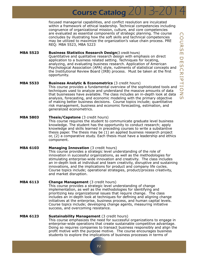Course Catalog  $\angle$ focused managerial capabilities, and conflict resolution are inculcated

within a framework of ethical leadership. Technical competencies including congruence of organizational mission, culture, and core competencies are evaluated as essential components of strategic planning. The course concludes by illustrating how the soft skills and technical competencies may be utilized to maximize the organization's value chain process. PRE REQ: MBA 5523, MBA 5223

#### **MBA 5523** Business Statistics Research Design(3 credit hours)

Quantitative and qualitative research design with emphasis on direct application to a business related setting. Techniques for locating, analyzing, and evaluating business research. Application of American Psychological Association (APA) style, rudiments of statistical concepts and the Institutional Review Board (IRB) process. Must be taken at the first opportunity.

#### **MBA 5533** Business Analytic & Econometrics (3 credit hours)

This course provides a fundamental overview of the sophisticated tools and techniques used to analyze and understand the massive amounts of data that businesses have available. The class includes an in-depth look at data analysis, forecasting, and economic modeling with the primary objective of making better business decisions. Course topics include; quantitative risk management, business and economic forecasting, estimation, and generalized econometrics.

#### **MBA 5803** Thesis/Capstone (3 credit hours)

This course requires the student to communicate graduate level business knowledge. The student has the opportunity to conduct research; apply knowledge and skills learned in preceding courses to write a substantive thesis paper. The thesis may be (1) an applied business research project or, (2) a comparative study. Each thesis must have a leadership and ethics component.

#### **MBA 6103** Managing Innovation (3 credit hours)

This course provides a strategic level understanding of the role of innovation in successful organizations, as well as the methodologies for stimulating enterprise-wide innovation and creativity. The class includes an in-depth look at individual and team creativity, disruptive and sustaining innovations, and the implications for product and company life cycles. Course topics include; operational strategies, product/process creativity, and market disruption.

#### **MBA 6113 Change Management** (3 credit hours)

This course provides a strategic level understanding of change implementation, as well as the methodologies for identifying and prioritizing key organizational issues that require change. The class includes an in-depth look at techniques for defining and aligning change initiatives at the enterprise, business process, and human capital levels. Course topics include; developing change agents, measuring initiative success, and overcoming resistance.

#### **MBA 6123 Sustainability Management** (3 credit hours)

This course emphasizes the need for successful organizations to engage in enterprise-wide operations that create sustainable competitive advantage. Doing so requires companies to transact business responsibly and align the profit motive with the purpose motive. The course encourages business students to explore the implications of business processes in terms of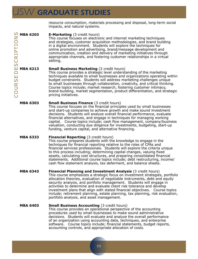resource consumption, materials processing and disposal, long-term social impacts, and natural systems.

#### **MBA 6203 E-Marketing** (3 credit hours)

This course focuses on electronic and internet marketing techniques and strategies, customer acquisition methodologies, and brand building in a digital environment. Students will explore the techniques for online promotion and advertising, brand/message development and communication, creation and delivery of marketing initiatives through appropriate channels, and fostering customer relationships in a virtual setting.

#### **Small Business Marketing** (3 credit hours)

This course provides a strategic level understanding of the marketing techniques available to small businesses and organizations operating within budget constraints. Students will address marketing challenges unique to small businesses through collaboration, creativity, and critical thinking. Course topics include; market research, fostering customer intimacy, brand-building, market segmentation, product differentiation, and strategic pricing initiatives.

#### **MBA 6303 Small Business Finance** (3 credit hours)

This course focuses on the financial principles used by small businesses and start-up companies to achieve growth and make sound investment decisions. Students will analyze overall financial performance, evaluate financial alternatives, and engage in techniques for managing working capital. Course topics include; cash flow management, company/business valuation, conducting due diligence for investments, budgeting, start-up funding, venture capital, and alternative financing.

#### **MBA 6333 Financial Reporting (3 credit hours)**

This course prepares students with the knowledge to engage in the techniques for financial reporting relative to the roles of CPAs and financial services professionals. Students will explore the criteria unique to this process including; determining capital changes, valuing fixed assets, calculating cost structures, and preparing consolidated financial statements. Additional course topics include; debt restructuring, income/ cash flow statement analysis, tax deferment, and balance sheets.

#### **MBA 6343 Financial Planning and Investment Analysis (3 credit hours)** This course emphasizes a strategic focus on investment strategies, portfolio allocation theories, evaluation of negotiable instruments, debt and equity security analysis, and portfolio management. Students will engage in activities to determine and evaluate client risk tolerance and develop investment plans that align with stated financial objectives. Course topics include; retirement planning, estate planning, tax planning, risk evaluation, portfolio analysis, and asset management.

#### **MBA 6403 Small Business Accounting** (3 credit hours) This course provides an operational perspective of the accounting procedures used by small businesses to make sound administrative decisions. Students will evaluate and analyze the overall performance of an organization using accounting data, techniques, and enterprise software. Course topics include; financial statements, budget reports, accounting controls, and appropriate allocation of costs.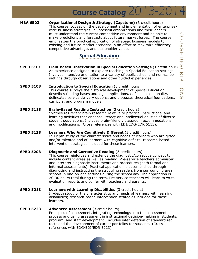

**MBA 6503 Organizational Design & Strategy (Capstone)** (3 credit hours) This course focuses on the development and implementation of enterprisewide business strategies. Successful organizations and their leaders must understand the current competitive environment and be able to make predictions and forecasts about future market forces. The course emphasizes the practical application of strategic business models to existing and future market scenarios in an effort to maximize efficiency, competitive advantage, and stakeholder value.

# Special Education

- **SPED 5101 Field-Based Observation in Special Education Settings** (1 credit hour) An experience designed to explore teaching in Special Education settings. Involves intensive orientation to a variety of public school and non-school settings through observations and other guided experiences.
- **SPED 5103** Introduction to Special Education (3 credit hours) This course surveys the historical development of Special Education, describes funding bases and legal implications, defines exceptionality, delineates service delivery options, and discusses theoretical foundations, curricula, and program models.
- **SPED 5113 Brain-Based Reading Instruction** (3 credit hours) Synthesizes recent brain research relative to practical instructional and learning activities that enhance literacy and intellectual abilities of diverse student populations. Includes brain-friendly classroom accommodations and modifications. (Cross references with EDI/EDG/EDR 5113).
- **SPED 5123 Learners Who Are Cognitively Different** (3 credit hours) In-Depth study of the characteristics and needs of learners who are gifted and/or talented and of learners with cognitive deficits; research-based intervention strategies included for these learners.
- **SPED 5203** Diagnostic and Corrective Reading (3 credit hours) This course reinforces and extends the diagnostic/corrective concept to include content areas as well as reading. Pre-service teachers administer and interpret diagnostic instruments and procedures (both formal and informal assessments). Practical application is accomplished through diagnosing and instructing the struggling readers from surrounding area schools in one-on-one settings during the school day. The application is 20-30 hours total during the term. Pre-service teachers will learn to write evaluation reports and confer with teachers and parents.
- **SPED 5213 Learners with Learning Disabilities** (3 credit hours) In-depth study of the characteristics and needs of learners with learning disabilities; research-based intervention strategies included for these learners.
- **SPED 5223** Advanced Assessment (3 credit hours) Principles of assessment, integrating technology into the assessment process and using assessment in instructional decision-making in students, program, and staff development. Includes interpretation of standardized tests and the development of career portfolios for students. (Cross references with EDG/EDI/EDR 5223).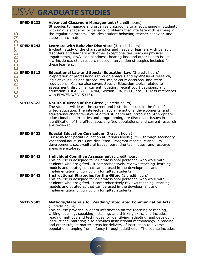# $\mathcal V$  GRADUATE STUDIES

| I                       | I |
|-------------------------|---|
|                         | ı |
|                         |   |
|                         |   |
|                         | I |
|                         | ï |
|                         |   |
|                         |   |
|                         |   |
|                         |   |
|                         |   |
|                         |   |
|                         |   |
|                         |   |
| l                       |   |
|                         | Ī |
|                         |   |
|                         |   |
|                         |   |
| $\overline{\mathbf{C}}$ |   |

**SPED 5233 Advanced Classroom Management** (3 credit hours) Strategies to manage and organize classrooms to affect change in students with unique academic or behavior problems that interfere with learning in the regular classroom. Includes student behavior, teacher behavior, and classroom climate.

### **SPED 5243 Learners with Behavior Disorders** (3 credit hours)

In-depth study of the characteristics and needs of learners with behavior disorders and learners with other exceptionalities, such as physical impairments, low/vision blindness, hearing loss and other health issues, low-incidence, etc.; research-based intervention strategies included for these learners.

#### **SPED 5313 Educational Law and Special Education Law** (3 credit hours) Preparation of professionals through analysis and synthesis of research, legislative issues and procedures, major court decisions, and state regulations. Course also covers Special Education topics related to assessment, discipline, current litigation, recent court decisions, and education (IDEA '97/IDEA '04, Section 504, NCLB, etc.). (Cross references with EDA/EDG/EDI 5313).

### **SPED 5323** Nature & Needs of the Gifted (3 credit hours)

The student will learn the current and historical issues in the field of gifted education. The intellectual, social, emotional developmental and educational characteristics of gifted students are introduced. Appropriate educational opportunities and programming are discussed. Issues in identification of the gifted, special gifted populations, and current research are reviewed.

#### **SPED 5423 Special Education Curriculum** (3 credit hours) Curricula for Special Education at various levels (Pre-K through secondary, vocational adult, etc.) are discussed. Program models, curriculum development, socio-cultural issues, parenting techniques, and resource areas are explored.

#### **SPED 5442 Individual Cognitive Assessment** (2 credit hours) This course is designed for all professional personnel who work with students who are gifted. It comprehensively reviews teaching–learning models and strategies that can be used in the development and implementation of curriculum for gifted students.

**SPED 5443 Instructional Strategies for the Gifted** (3 credit hours) This course is designed for all professional personnel who work with students who are gifted. It comprehensively reviews teaching–learning models and strategies that can be used in the development and implementation of curriculum for gifted students.

#### **SPED 5503 Methods/Materials for Reading/Integrated Communication Arts** (3 credit hours)

This course provides in-depth information on the teaching of reading, writing, spelling, speaking, listening, and thinking skills, and includes reading methods and techniques for identifying, adapting, and developing instructional material; also provides instructional methodology in reading and other subject matter areas for delivery of instruction to diverse populations ranging from infancy through adulthood. The course includes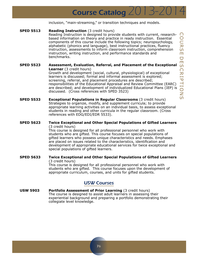

inclusion, "main-streaming," or transition techniques and models.

**SPED 5513** Reading Instruction (3 credit hours) Reading Instruction is designed to provide students with current, researchbased information on theory and practice in ready instruction. Essential components of this course include the following topics; neuropsychology, alphabetic (phonics and language), best instructional practices, fluency instruction, assessments to inform classroom instruction, comprehension instruction, writing instruction, and performance standards and benchmarks.

#### **SPED 5523 Assessment, Evaluation, Referral, and Placement of the Exceptional Learner** (3 credit hours)

Growth and development (social, cultural, physiological) of exceptional learners is discussed; formal and informal assessment is explored; screening, referral, and placement procedures are described; responsibilities of the Educational Appraisal and Review Committee (EARC) are described; and development of individualized Educational Plans (IEP) is discussed. (Cross references with SPED 3523)

**SPED 5533 Exceptional Populations in Regular Classrooms** (3 credit hours) Strategies to organize, modify, and supplement curricula; to provide appropriate learning activities on an individual basis, to assess exceptional students in reading and other curricula in the regular classroom. (Cross references with EDG/EDI/EDR 5533).

#### **SPED 5623 Twice Exceptional and Other Special Populations of Gifted Learners** (3 credit hours)

This course is designed for all professional personnel who work with students who are gifted. This course focuses on special populations of gifted learners who possess unique characteristics and needs. Emphases are placed on issues related to the characteristics, identification and development of appropriate educational services for twice exceptional and special populations of gifted learners.

#### **SPED 5633 Twice Exceptional and Other Special Populations of Gifted Learners** (3 credit hours)

This course is designed for all professional personnel who work with students who are gifted. This course focuses upon the development of appropriate curriculum, courses, and units for gifted students.

# USW Courses

**USW 5903 Portfolio Assessment of Prior Learning** (3 credit hours) The course is designed to assist adult learners in assessing their experiential background and preparing a portfolio demonstrating their collegiate level knowledge.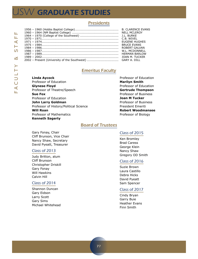# **Presidents**

## Emeritus Faculty

**Linda Aycock** Professor of Education **Glynese Floyd** Professor of Theatre/Speech **Sue Fox** Professor of Education **John Larry Goldman** Professor of History/Political Science **Will Roan** Professor of Mathematics **Kenneth Sagerty**

Professor of Education **Marilyn Smith** Professor of Education **Gertrude Thompson** Professor of Business **Joan M Tucker** Professor of Business President Emeriti **Robert Woodmansee** Professor of Biology

### Board of Trustees

Gary Fonay, Chair Cliff Brunson, Vice Chair Nancy Shaw, Secretary David Pyeatt, Treasurer

### Class of 2013

Judy Britton, alum Cliff Brunson Christopher Driskill Gary Fonay Will Hawkins Calvin Hill

### Class of 2014

Shannon Duncan Gary Eidson Larry Scott Gary Sims Michael Whitehead

### Class of 2015

Ken Bromley Brad Caress George Klein Nancy Shaw Gregory OD Smith

#### Class of 2016

Suzie Brown Laura Castillo Debra Hicks David Pyeatt Sam Spencer

### Class of 2017

Cindy Bryan Garry Buie Heather Evans Finn Smith

Щ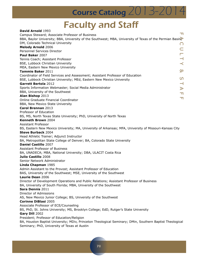# Course Catalog 2013-2014

# **Faculty and Staff**

| Campus Steward; Associate Professor of Business                                                          | ᆩ                        |
|----------------------------------------------------------------------------------------------------------|--------------------------|
| BBA, Baylor University; BBA, University of the Southwest; MBA, University of Texas of the Permian Basin  |                          |
| DM, Colorado Technical University                                                                        | $\bigcap$                |
| <b>Melody Arnold 2006</b>                                                                                |                          |
| Personnel Services Director                                                                              | $\subset$                |
| Paul Baker 2007                                                                                          | П                        |
| Tennis Coach; Assistant Professor                                                                        | $\overline{\phantom{0}}$ |
| BSE, Lubbock Christian University                                                                        | $\prec$                  |
| MEA, Eastern New Mexico University                                                                       |                          |
| Tammie Baker 2011                                                                                        | 8                        |
| Coordinator of Field Services and Assessment; Assistant Professor of Education                           |                          |
| BSE, Lubbock Christian University; MEd, Eastern New Mexico University                                    | <u>ທ</u>                 |
| Garrett Bertola 2012                                                                                     | $\overline{\phantom{0}}$ |
| Sports Information Webmaster; Social Media Administrator                                                 | $\blacktriangleright$    |
| BBA, University of the Southwest                                                                         |                          |
| Alan Bishop 2013                                                                                         | ᆩ                        |
| Online Graduate Financial Coordinator                                                                    | 고                        |
| BBA, New Mexico State University                                                                         |                          |
| Carol Brennan 2013                                                                                       |                          |
| Professor of Education                                                                                   |                          |
| BS, MS, North Texas State University; PhD, University of North Texas                                     |                          |
| Kenneth Brown 2004                                                                                       |                          |
| Assistant Professor                                                                                      |                          |
| BS, Eastern New Mexico University; MA, University of Arkansas; MFA, University of Missouri-Kansas City   |                          |
| <b>Steve Burback 2004</b>                                                                                |                          |
| Head Athletic Trainer; Adjunct Instructor                                                                |                          |
| BA, Metropolitan State College of Denver; BA, Colorado State University                                  |                          |
| <b>Daniel Castillo 2007</b>                                                                              |                          |
| Assistant Professor of Business                                                                          |                          |
| BA, UNADECA; MBA, National University; DBA, ULACIT Costa Rica                                            |                          |
| Julio Castillo 2008                                                                                      |                          |
| Senior Network Administrator                                                                             |                          |
| Linda Chapman 1985                                                                                       |                          |
| Admin Assistant to the Provost; Assistant Professor of Education                                         |                          |
| BAS, University of the Southwest; MSE, University of the Southwest                                       |                          |
| Laurie Dean 2006                                                                                         |                          |
| Director of Development Operations and Public Relations; Assistant Professor of Business                 |                          |
| BA, University of South Florida; MBA, University of the Southwest                                        |                          |
| Sara Dennis 2011                                                                                         |                          |
| Director of Admissions                                                                                   |                          |
| AS, New Mexico Junior College; BS, University of the Southwest                                           |                          |
| <b>Corinne DiBlasi 2005</b>                                                                              |                          |
| Associate Professor of ECE/Counseling                                                                    |                          |
| BS, PhD, St. Johns University; MS, Brooklyn College; EdD, Rutger's State University                      |                          |
| Gary Dill 2002                                                                                           |                          |
| President; Professor of Education/Religion                                                               |                          |
| BA, Houston Baptist University; MDiv, Princeton Theological Seminary; DMin, Southern Baptist Theological |                          |
| Seminary; PhD, University of Texas at Austin                                                             |                          |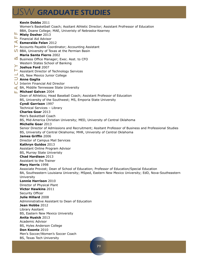# **SW GRADUATE STUDIES**

```
FMichael Galvan 2004
\blacktriangleleft BA, Middile Tennessee State University
→ AS, New Mexico Junior College<br>
→ Anne Gaglia<br>
↓ Interim Financial Aid Director<br>
← BA, Middile Tennessee State U
\vdash⊗<br>≻
\bigcirc BBA, University of Texas at the Permian Basin
S T A F F
    Kevin Dobbs 2011 
   Women's Basketball Coach; Assitant Athletic Director; Assistant Profressor of Education
   BBA, Doane College; MAE, Univeristy of Nebraska-Kearney
Misty Dosher 2013
Financial Aid Advisor
Esmeralda Felan 2012
H Accounts Payable Coordinator; Accounting Assistant
    Maria Santa Fierro 2002
    Business Office Manager; Exec. Asst. to CFO
   Western States School of Banking
Joshua Ford 2007
   Assistant Director of Technology Services
Anne Gaglia 
\bigcup Interim Financial Aid Director
   Dean of Athletics; Head Baseball Coach; Assistant Professor of Education
    BS, University of the Southwest; MS, Emporia State University
    Cyndi Garrison 1997
    Technical Services – Library
    Charles Goar 2013
   Men's Basketball Coach
    BS, Mid-America Christian University; MED, University of Central Oklahoma
    Michelle Goar 2013
   Senior Director of Admissions and Recruitment; Assitant Professor of Business and Professional Studies
    BS, University of Central Oklahoma; MHR, University of Central Oklahoma
    James Griffin 2006
   Director of Campus Mail Services
   Kathryn Guidos 2013
   Assistant Online Program Advisor
    BS, Murray State Univeristy
   Chad Hardison 2013
    Assistant to the Trainer
    Mary Harris 1998
    Associate Provost; Dean of School of Education; Professor of Education/Special Education 
    BA, Southeastern Louisiana University; MSped, Eastern New Mexico University; EdD, Nova-Southeastern 
   University
   Lonnie Harrison 2010
    Director of Physical Plant
   Victor Hawkins 2011
   Security Officer
   Julie Hillard 2008
   Admininstrative Assistant to Dean of Education
    Jean Hobbs 2012
   Library Assitant
    BS, Eastern New Mexico University
    Anita Husick 2013
   Academic Advisor
    BS, Hyles Anderson College
    Don Koontz 2010
    Men's Soccer/Women's Soccer Coach
    BS, Texas Tech University
```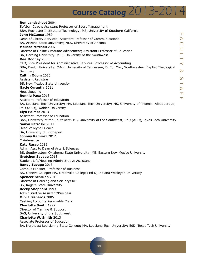# Course Catalog  $2013-201$

 $\overline{\mathbf{H}}$  $\blacktriangleright$ 

C<br>N<br>T

t

 $\frac{1}{\infty}$ 

 $\Omega$  $\overline{\phantom{a}}$  $\triangleright$  $\overline{\mathbb{T}}$  $\mathbb{F}$ 

**Ron Landschoot** 2004 Softball Coach; Assistant Professor of Sport Management BBA, Rochester Institute of Technology; MS, University of Southern California **John McCance** 1989 Dean of Library Services; Assistant Professor of Communications BA, Arizona State University; MLS, University of Arizona **Melissa Mitchell** 2007 Director of Online Graduate Advisement; Assistant Professor of Education BA, Harding University; MSE, University of the Southwest **Dee Mooney** 2003 CFO; Vice President for Administrative Services; Professor of Accounting BBA, Baylor University; MAcc, University of Tennessee; D. Ed. Min., Southwestern Baptist Theological Seminary **Caitlin Odom** 2010 Assistant Registrar BS, New Mexico State University **Gacie Orrantia** 2011 Housekeeping **Ronnie Pace** 2013 Assistant Professor of Education BA, Lousiana Tech University; MA, Lousiana Tech University; MS, University of Phoenix- Albuquerque; PhD (ABD), Walden University **Elyn Palmer** 2013 Assistant Professor of Education BAS, University of the Southwest; MS, University of the Southwest; PhD (ABD), Texas Tech University **Sonya Petroski** 2011 Head Volleyball Coach BA, University of Bridgeport **Johnny Ramirez** 2012 Maintenance **Katy Rasco** 2012 Admin Asst to Dean of Arts & Sciences BS, Southwestern Oklahoma State University; ME, Eastern New Mexico University **Gretchen Savage** 2013 Student Life/Housing Administrative Assistant **Randy Savage** 2013 Campus Minister; Professor of Business BS, Geneva College; MA, Greenville College; Ed D, Indiana Wesleyan University **Spencer Schrupp** 2013 Director of Housing and Security; RD BS, Rogers State University **Becky Sheppard** 1993 Administrative Assistant/Business **Olivia Sisneros** 2005 Cashier/Accounts Receivable Clerk **Charlotte Smith** 1997 Director of Training & Support BAS, University of the Southwest **Charlotte W. Smith** 2013 Associate Professor of Education BA, Northeast Louisianna State College; MA, Lousiana Tech University; EdD, Texas Tech University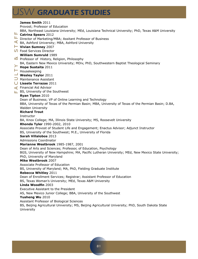# **SW GRADUATE STUDIES**

#### **James Smith** 2011

Provost; Professor of Education

BBA, Northeast Louisiana University; MEd, Louisiana Technical University; PhD, Texas A&M University

# S T A F F **Catrina Spears** 2012

- Director of Marketing/MBA; Assitant Professor of Business
- BA, Ashford University; MBA, Ashford University
- **Vivian Sumney** 2007
- **S** Food Services Director

### **William Sumruld** 1989

**William Sumruld** 19<br>  $\varnothing$  Professor of History,<br>
BA, Eastern New Mex<br> **Hope Sustaita** 2011  $\delta$  Professor of History, Religion, Philosophy BA, Eastern New Mexico University; MDiv, PhD, Southwestern Baptist Theological Seminary

 $\vdash$  Housekeeping

 $\supset$  Maintenance Assistant

# **Wesley Taylor** 2011<br>
■ Maintenance Assistan<br>
■ Lissete Terrazas 20<br>
■ Financial Aid Advisor **Lissete Terrazas** 2011

- $\blacktriangleleft$  Financial Aid Advisor
- LL BS, University of the Southwest

#### **Ryan Tipton** 2010

Dean of Business; VP of Online Learning and Technology

BBA, University of Texas of the Permian Basin; MBA, University of Texas of the Permian Basin; D.BA, Walden University

#### **Richard Trout**

#### **Instructor**

BA, Knox College; MA, Illinois State University; MS, Roosevelt University

#### **Rhonda Tyler** 1990-2002, 2010

Associate Provost of Student Life and Engagement; Enactus Advisor; Adjunct Instructor

BS, University of the Southwest; M.E., University of Florida

#### **Sarah Villalobos** 2013

Admissions Coordinator

#### **Marianne Westbrook** 1985-1987, 2001

Dean of Arts and Sciences; Professor, of Education, Psychology

BGS, University of New Hampshire; MA, Pacific Lutheran University; MEd, New Mexico State University; PhD, University of Maryland

#### **Mike Westbrook** 2007

Associate Professor of Education

BS, University of Maryland; MA, PhD, Fielding Graduate Institute

#### **Rebecca Whitley** 2011

Dean of Enrollment Services; Registrar; Assistant Professor of Education

BS, Texas Woman's University; MEd, Texas A&M University

#### **Linda Woodfin** 2003

Executive Assistant to the President

AS, New Mexico Junior College; BBA, University of the Southwest

#### **Yusheng Wu** 2010

Assistant Professor of Biological Sciences

BS, Beijing Agricultural University; MS, Beijing Agricultural University; PhD, South Dakota State University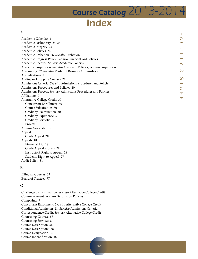# Course Catalog  $2013-201$ Index

#### **A**

| ╖        |
|----------|
|          |
|          |
|          |
|          |
|          |
|          |
|          |
|          |
| ò        |
|          |
| <u>ഗ</u> |
|          |
| ⋗        |
|          |
| T        |
| ╖        |
|          |
|          |
|          |

Credit by Examination 30 Credit by Experience 30 Credit by Portfolio 30

Process 30 Alumni Association 9 Appeal Grade Appeal 28 Appeals 18 Financial Aid 18 Grade Appeal Process 28

Instructor's Right to Appeal 28 Student's Right to Appeal 27 Audit Policy 31

### **B**

Bilingual Courses 63 Board of Trustees 77

### **C**

Challenge by Examination. *See also* Alternative College Credit Commencement. *See also* Graduation Policies Complaints 9 Concurrent Enrollment. *See also* Alternative College Credit Conditional Admission 21. *See also* Admissions Criteria Correspondence Credit. *See also* Alternative College Credit Counseling Courses 58 Counseling Services 8 Course Description 36 Course Descriptions 58 Course Designation 36 Course Indentification 36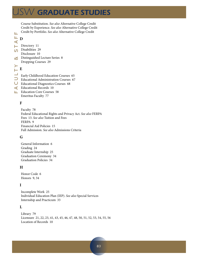# $\mathcal V$  GRADUATE STUDIES

Course Substitution. *See also* Alternative College Credit Credit by Experience. *See also* Alternative College Credit Credit by Portfolio. *See also* Alternative College Credit

# **D**

Щ

- Directory 11
- Disabilities 29
- Disclosure 10
- Substitute 10<br>
Distinguished Lecture Series 8<br>
Dropping Courses 29 Dropping Courses 29

# $\vdash$  E

- Early Childhood Education Courses 65
- Educational Administration Courses 67
- Educational Diagnostics Courses 68
- Educational Records 10
- **L** Education Core Courses 58 Emeritus Faculty 77

# **F**

Faculty 78 Federal Educational Rights and Privacy Act. *See also* FERPA Fees 13. *See also* Tuition and Fees FERPA 9 Financial Aid Policies 15 Full Admission. *See also* Admissions Criteria

## **G**

General Information 6 Grading 24 Graduate Internship 25 Graduation Ceremony 34 Graduation Policies 34

## **H**

Honor Code 6 Honors 9, 34

## **I**

Incomplete Work 25 Individual Education Plan (IEP). *See also* Special Services Internship and Practicum 33

### **L**

Library 79 Licensure 21, 22, 23, 41, 43, 45, 46, 47, 48, 50, 51, 52, 53, 54, 55, 56 Location of Records 10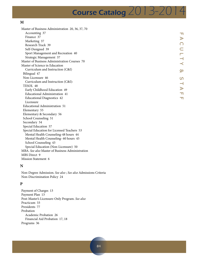# Course Catalog  $\angle$  0 1 3-20

#### **M**

Master of Business Administration 20, 36, 37, 70 Accounting 37 Finance 37 Marketing 37 Research Track 39 Self-Designed 39 Sport Management and Recreation 40 Strategic Management 37 Master of Business Administration Courses 70 Master of Science in Education Curriculum and Instruction (C&I) Bilingual 47 Non-Licensure 46 Curriculum and Instruction (C&I): TESOL 48 Early Childhood Education 49 Educational Administration 41 Educational Diagnostics 42 Licensure Educational Administration 51 Elementary 55 Elementary & Secondary 56 School Counseling 51 Secondary 54 Special Education 57 Special Education for Licensed Teachers 53 Mental Health Counseling-48 hours 44 Mental Health Counseling- 60 hours 45 School Counseling 43 Special Education (Non-Licensure) 50 MBA. *See also* Master of Business Administration MBS Direct 9 Mission Statement 6

#### **N**

Non-Degree Admission. *See also* ; *See also* Admissions Criteria Non-Discrimination Policy 24

### **P**

Payment of Charges 13 Payment Plan 13 Post-Master's Licensure-Only Program. *See also* Practicum 33 Presidents 77 Probation Academic Probation 26 Financial Aid Probation 17, 18 Programs 36